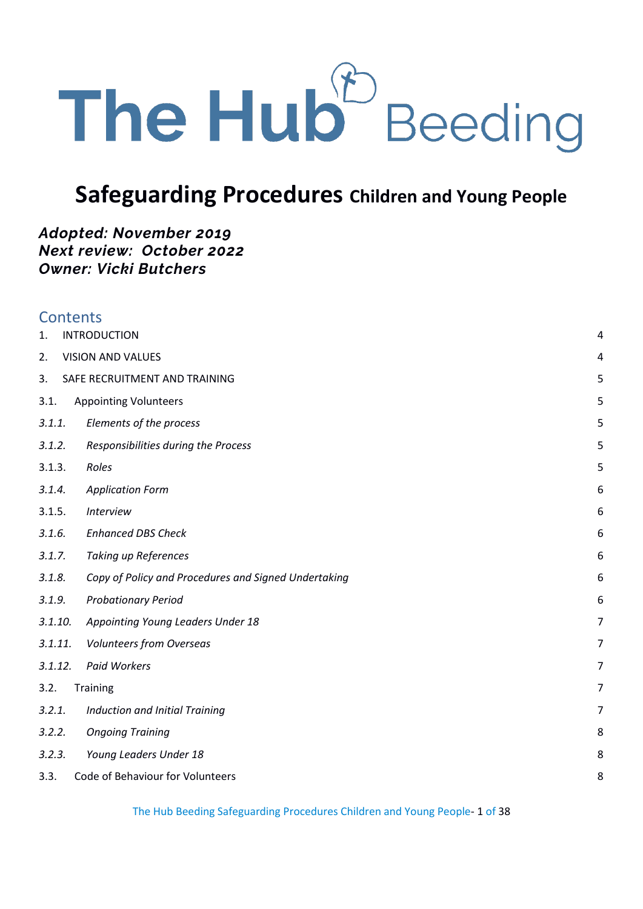

# **Safeguarding Procedures Children and Young People**

# *Adopted: November 2019 Next review: October 2022 Owner: Vicki Butchers*

| <b>Contents</b> |                                                      |   |
|-----------------|------------------------------------------------------|---|
| 1.              | <b>INTRODUCTION</b>                                  | 4 |
| 2.              | <b>VISION AND VALUES</b>                             | 4 |
| 3.              | SAFE RECRUITMENT AND TRAINING                        | 5 |
| 3.1.            | <b>Appointing Volunteers</b>                         | 5 |
| 3.1.1.          | Elements of the process                              | 5 |
| 3.1.2.          | Responsibilities during the Process                  | 5 |
| 3.1.3.          | Roles                                                | 5 |
| 3.1.4.          | <b>Application Form</b>                              | 6 |
| 3.1.5.          | <b>Interview</b>                                     | 6 |
| 3.1.6.          | <b>Enhanced DBS Check</b>                            | 6 |
| 3.1.7.          | <b>Taking up References</b>                          | 6 |
| 3.1.8.          | Copy of Policy and Procedures and Signed Undertaking | 6 |
| 3.1.9.          | <b>Probationary Period</b>                           | 6 |
| 3.1.10.         | Appointing Young Leaders Under 18                    | 7 |
| 3.1.11.         | <b>Volunteers from Overseas</b>                      | 7 |
| 3.1.12.         | Paid Workers                                         | 7 |
| 3.2.            | Training                                             | 7 |
| 3.2.1.          | Induction and Initial Training                       | 7 |
| 3.2.2.          | <b>Ongoing Training</b>                              | 8 |
| 3.2.3.          | Young Leaders Under 18                               | 8 |
| 3.3.            | Code of Behaviour for Volunteers                     | 8 |
|                 |                                                      |   |

The Hub Beeding Safeguarding Procedures Children and Young People- 1 of 38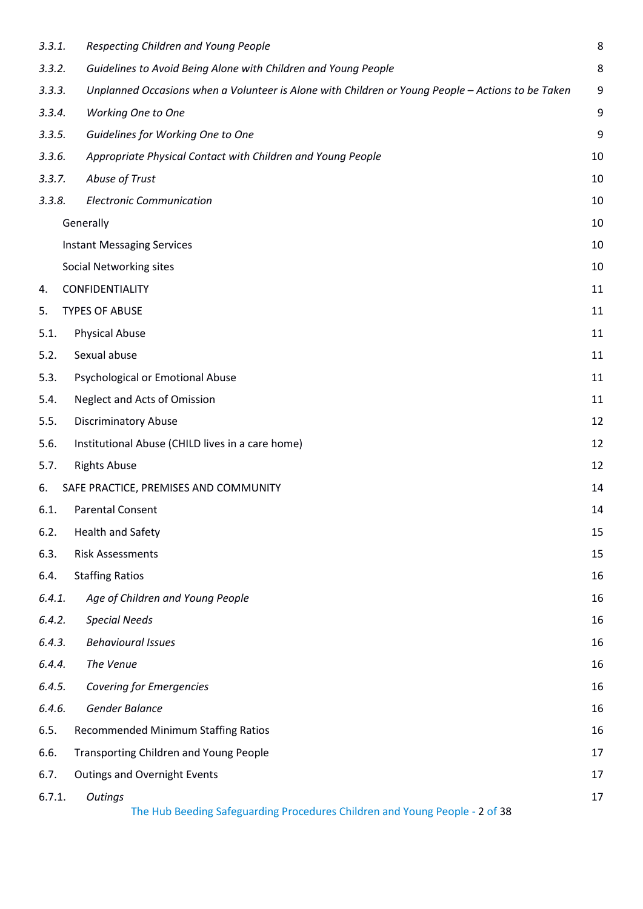| 3.3.1. | Respecting Children and Young People                                                              | 8  |
|--------|---------------------------------------------------------------------------------------------------|----|
| 3.3.2. | Guidelines to Avoid Being Alone with Children and Young People                                    | 8  |
| 3.3.3. | Unplanned Occasions when a Volunteer is Alone with Children or Young People - Actions to be Taken | 9  |
| 3.3.4. | <b>Working One to One</b>                                                                         | 9  |
| 3.3.5. | Guidelines for Working One to One                                                                 | 9  |
| 3.3.6. | Appropriate Physical Contact with Children and Young People                                       | 10 |
| 3.3.7. | Abuse of Trust                                                                                    | 10 |
| 3.3.8. | <b>Electronic Communication</b>                                                                   | 10 |
|        | Generally                                                                                         | 10 |
|        | <b>Instant Messaging Services</b>                                                                 | 10 |
|        | Social Networking sites                                                                           | 10 |
| 4.     | CONFIDENTIALITY                                                                                   | 11 |
| 5.     | <b>TYPES OF ABUSE</b>                                                                             | 11 |
| 5.1.   | <b>Physical Abuse</b>                                                                             | 11 |
| 5.2.   | Sexual abuse                                                                                      | 11 |
| 5.3.   | Psychological or Emotional Abuse                                                                  | 11 |
| 5.4.   | <b>Neglect and Acts of Omission</b>                                                               | 11 |
| 5.5.   | <b>Discriminatory Abuse</b>                                                                       | 12 |
| 5.6.   | Institutional Abuse (CHILD lives in a care home)                                                  | 12 |
| 5.7.   | <b>Rights Abuse</b>                                                                               | 12 |
| 6.     | SAFE PRACTICE, PREMISES AND COMMUNITY                                                             | 14 |
| 6.1.   | <b>Parental Consent</b>                                                                           | 14 |
| 6.2.   | <b>Health and Safety</b>                                                                          | 15 |
| 6.3.   | <b>Risk Assessments</b>                                                                           | 15 |
| 6.4.   | <b>Staffing Ratios</b>                                                                            | 16 |
| 6.4.1. | Age of Children and Young People                                                                  | 16 |
| 6.4.2. | <b>Special Needs</b>                                                                              | 16 |
| 6.4.3. | <b>Behavioural Issues</b>                                                                         | 16 |
| 6.4.4. | The Venue                                                                                         | 16 |
| 6.4.5. | <b>Covering for Emergencies</b>                                                                   | 16 |
| 6.4.6. | Gender Balance                                                                                    | 16 |
| 6.5.   | <b>Recommended Minimum Staffing Ratios</b>                                                        | 16 |
| 6.6.   | Transporting Children and Young People                                                            | 17 |
| 6.7.   | <b>Outings and Overnight Events</b>                                                               | 17 |
| 6.7.1. | Outings<br>The Hub Beeding Safeguarding Procedures Children and Young People - 2 of 38            | 17 |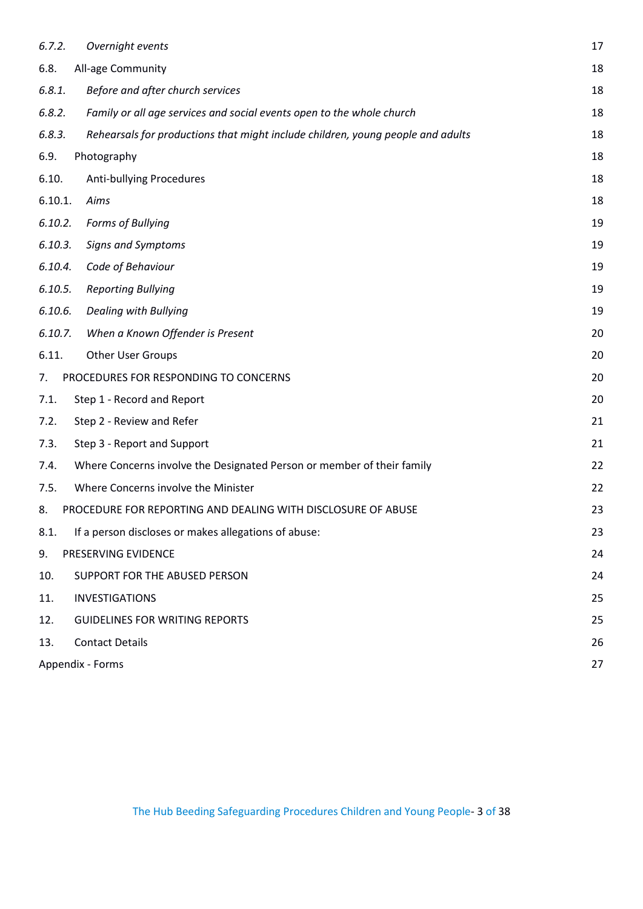| 6.7.2.  | Overnight events                                                                | 17 |
|---------|---------------------------------------------------------------------------------|----|
| 6.8.    | All-age Community                                                               | 18 |
| 6.8.1.  | Before and after church services                                                | 18 |
| 6.8.2.  | Family or all age services and social events open to the whole church           | 18 |
| 6.8.3.  | Rehearsals for productions that might include children, young people and adults | 18 |
| 6.9.    | Photography                                                                     | 18 |
| 6.10.   | Anti-bullying Procedures                                                        | 18 |
| 6.10.1. | Aims                                                                            | 18 |
| 6.10.2. | Forms of Bullying                                                               | 19 |
| 6.10.3. | Signs and Symptoms                                                              | 19 |
| 6.10.4. | Code of Behaviour                                                               | 19 |
| 6.10.5. | <b>Reporting Bullying</b>                                                       | 19 |
| 6.10.6. | <b>Dealing with Bullying</b>                                                    | 19 |
| 6.10.7. | When a Known Offender is Present                                                | 20 |
| 6.11.   | <b>Other User Groups</b>                                                        | 20 |
| 7.      | PROCEDURES FOR RESPONDING TO CONCERNS                                           | 20 |
| 7.1.    | Step 1 - Record and Report                                                      | 20 |
| 7.2.    | Step 2 - Review and Refer                                                       | 21 |
| 7.3.    | Step 3 - Report and Support                                                     | 21 |
| 7.4.    | Where Concerns involve the Designated Person or member of their family          | 22 |
| 7.5.    | Where Concerns involve the Minister                                             | 22 |
| 8.      | PROCEDURE FOR REPORTING AND DEALING WITH DISCLOSURE OF ABUSE                    | 23 |
| 8.1.    | If a person discloses or makes allegations of abuse:                            | 23 |
| 9.      | PRESERVING EVIDENCE                                                             | 24 |
| 10.     | SUPPORT FOR THE ABUSED PERSON                                                   | 24 |
| 11.     | <b>INVESTIGATIONS</b>                                                           | 25 |
| 12.     | <b>GUIDELINES FOR WRITING REPORTS</b>                                           | 25 |
| 13.     | <b>Contact Details</b>                                                          | 26 |
|         | Appendix - Forms                                                                | 27 |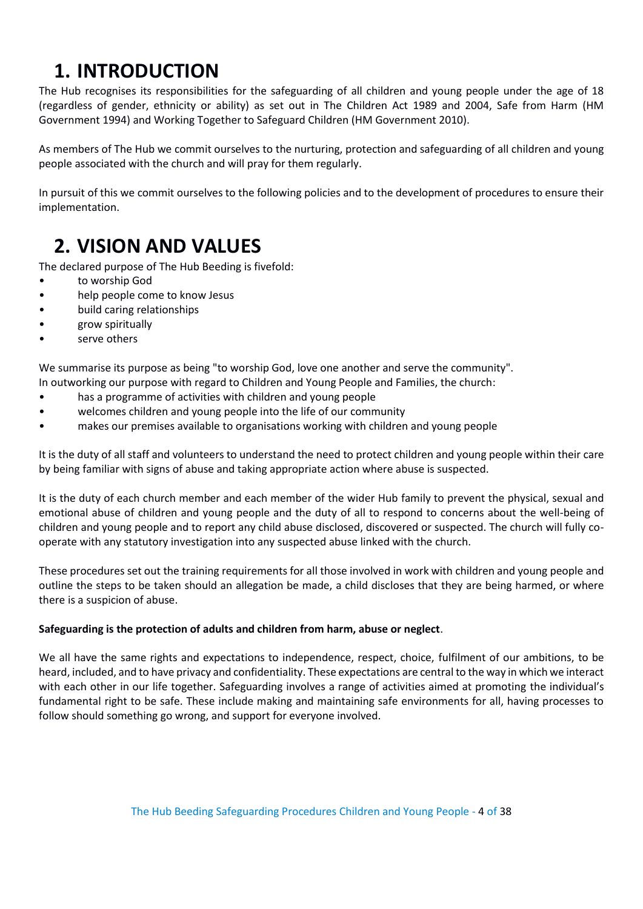# <span id="page-3-0"></span>**1. INTRODUCTION**

The Hub recognises its responsibilities for the safeguarding of all children and young people under the age of 18 (regardless of gender, ethnicity or ability) as set out in The Children Act 1989 and 2004, Safe from Harm (HM Government 1994) and Working Together to Safeguard Children (HM Government 2010).

As members of The Hub we commit ourselves to the nurturing, protection and safeguarding of all children and young people associated with the church and will pray for them regularly.

In pursuit of this we commit ourselves to the following policies and to the development of procedures to ensure their implementation.

# <span id="page-3-1"></span>**2. VISION AND VALUES**

The declared purpose of The Hub Beeding is fivefold:

- to worship God
- help people come to know Jesus
- build caring relationships
- grow spiritually
- serve others

We summarise its purpose as being "to worship God, love one another and serve the community".

In outworking our purpose with regard to Children and Young People and Families, the church:

- has a programme of activities with children and young people
- welcomes children and young people into the life of our community
- makes our premises available to organisations working with children and young people

It is the duty of all staff and volunteers to understand the need to protect children and young people within their care by being familiar with signs of abuse and taking appropriate action where abuse is suspected.

It is the duty of each church member and each member of the wider Hub family to prevent the physical, sexual and emotional abuse of children and young people and the duty of all to respond to concerns about the well-being of children and young people and to report any child abuse disclosed, discovered or suspected. The church will fully cooperate with any statutory investigation into any suspected abuse linked with the church.

These procedures set out the training requirements for all those involved in work with children and young people and outline the steps to be taken should an allegation be made, a child discloses that they are being harmed, or where there is a suspicion of abuse.

#### **Safeguarding is the protection of adults and children from harm, abuse or neglect**.

We all have the same rights and expectations to independence, respect, choice, fulfilment of our ambitions, to be heard, included, and to have privacy and confidentiality. These expectations are central to the way in which we interact with each other in our life together. Safeguarding involves a range of activities aimed at promoting the individual's fundamental right to be safe. These include making and maintaining safe environments for all, having processes to follow should something go wrong, and support for everyone involved.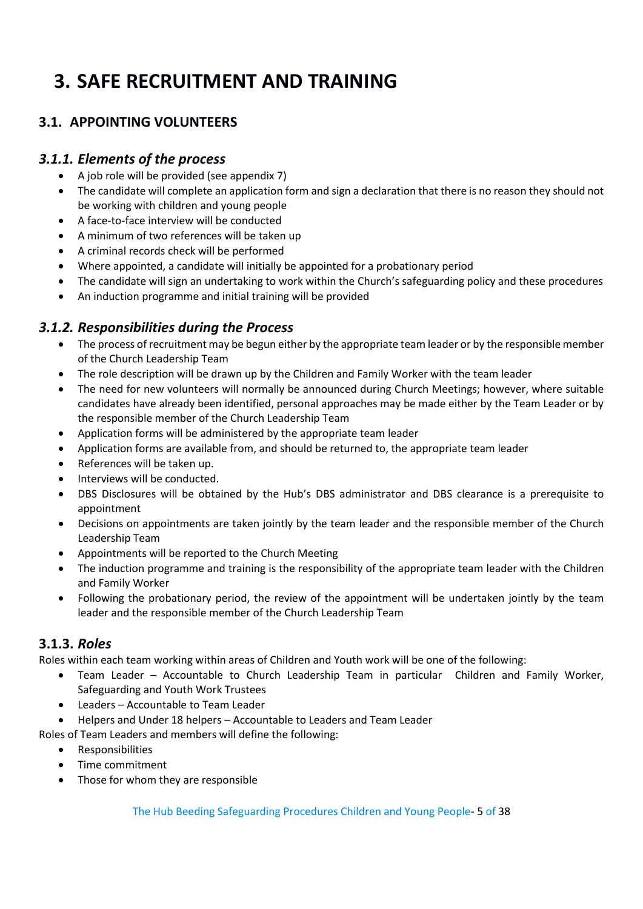# <span id="page-4-0"></span>**3. SAFE RECRUITMENT AND TRAINING**

# <span id="page-4-1"></span>**3.1. APPOINTING VOLUNTEERS**

# <span id="page-4-2"></span>*3.1.1. Elements of the process*

- A job role will be provided (see appendix 7)
- The candidate will complete an application form and sign a declaration that there is no reason they should not be working with children and young people
- A face-to-face interview will be conducted
- A minimum of two references will be taken up
- A criminal records check will be performed
- Where appointed, a candidate will initially be appointed for a probationary period
- The candidate will sign an undertaking to work within the Church's safeguarding policy and these procedures
- An induction programme and initial training will be provided

# <span id="page-4-3"></span>*3.1.2. Responsibilities during the Process*

- The process of recruitment may be begun either by the appropriate team leader or by the responsible member of the Church Leadership Team
- The role description will be drawn up by the Children and Family Worker with the team leader
- The need for new volunteers will normally be announced during Church Meetings; however, where suitable candidates have already been identified, personal approaches may be made either by the Team Leader or by the responsible member of the Church Leadership Team
- Application forms will be administered by the appropriate team leader
- Application forms are available from, and should be returned to, the appropriate team leader
- References will be taken up.
- Interviews will be conducted.
- DBS Disclosures will be obtained by the Hub's DBS administrator and DBS clearance is a prerequisite to appointment
- Decisions on appointments are taken jointly by the team leader and the responsible member of the Church Leadership Team
- Appointments will be reported to the Church Meeting
- The induction programme and training is the responsibility of the appropriate team leader with the Children and Family Worker
- Following the probationary period, the review of the appointment will be undertaken jointly by the team leader and the responsible member of the Church Leadership Team

## <span id="page-4-4"></span>**3.1.3.** *Roles*

Roles within each team working within areas of Children and Youth work will be one of the following:

- Team Leader Accountable to Church Leadership Team in particular Children and Family Worker, Safeguarding and Youth Work Trustees
- Leaders Accountable to Team Leader
- Helpers and Under 18 helpers Accountable to Leaders and Team Leader
- Roles of Team Leaders and members will define the following:
	- Responsibilities
	- Time commitment
	- Those for whom they are responsible

The Hub Beeding Safeguarding Procedures Children and Young People- 5 of 38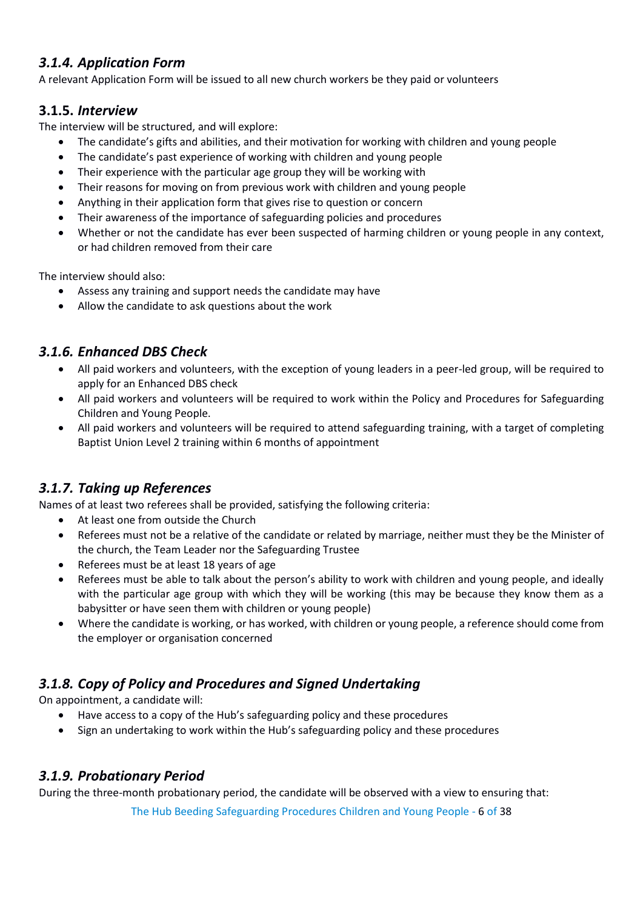# <span id="page-5-0"></span>*3.1.4. Application Form*

A relevant Application Form will be issued to all new church workers be they paid or volunteers

### <span id="page-5-1"></span>**3.1.5.** *Interview*

The interview will be structured, and will explore:

- The candidate's gifts and abilities, and their motivation for working with children and young people
- The candidate's past experience of working with children and young people
- Their experience with the particular age group they will be working with
- Their reasons for moving on from previous work with children and young people
- Anything in their application form that gives rise to question or concern
- Their awareness of the importance of safeguarding policies and procedures
- Whether or not the candidate has ever been suspected of harming children or young people in any context, or had children removed from their care

The interview should also:

- Assess any training and support needs the candidate may have
- Allow the candidate to ask questions about the work

# <span id="page-5-2"></span>*3.1.6. Enhanced DBS Check*

- All paid workers and volunteers, with the exception of young leaders in a peer-led group, will be required to apply for an Enhanced DBS check
- All paid workers and volunteers will be required to work within the Policy and Procedures for Safeguarding Children and Young People.
- All paid workers and volunteers will be required to attend safeguarding training, with a target of completing Baptist Union Level 2 training within 6 months of appointment

# <span id="page-5-3"></span>*3.1.7. Taking up References*

Names of at least two referees shall be provided, satisfying the following criteria:

- At least one from outside the Church
- Referees must not be a relative of the candidate or related by marriage, neither must they be the Minister of the church, the Team Leader nor the Safeguarding Trustee
- Referees must be at least 18 years of age
- Referees must be able to talk about the person's ability to work with children and young people, and ideally with the particular age group with which they will be working (this may be because they know them as a babysitter or have seen them with children or young people)
- Where the candidate is working, or has worked, with children or young people, a reference should come from the employer or organisation concerned

# <span id="page-5-4"></span>*3.1.8. Copy of Policy and Procedures and Signed Undertaking*

On appointment, a candidate will:

- Have access to a copy of the Hub's safeguarding policy and these procedures
- Sign an undertaking to work within the Hub's safeguarding policy and these procedures

## <span id="page-5-5"></span>*3.1.9. Probationary Period*

During the three-month probationary period, the candidate will be observed with a view to ensuring that:

The Hub Beeding Safeguarding Procedures Children and Young People - 6 of 38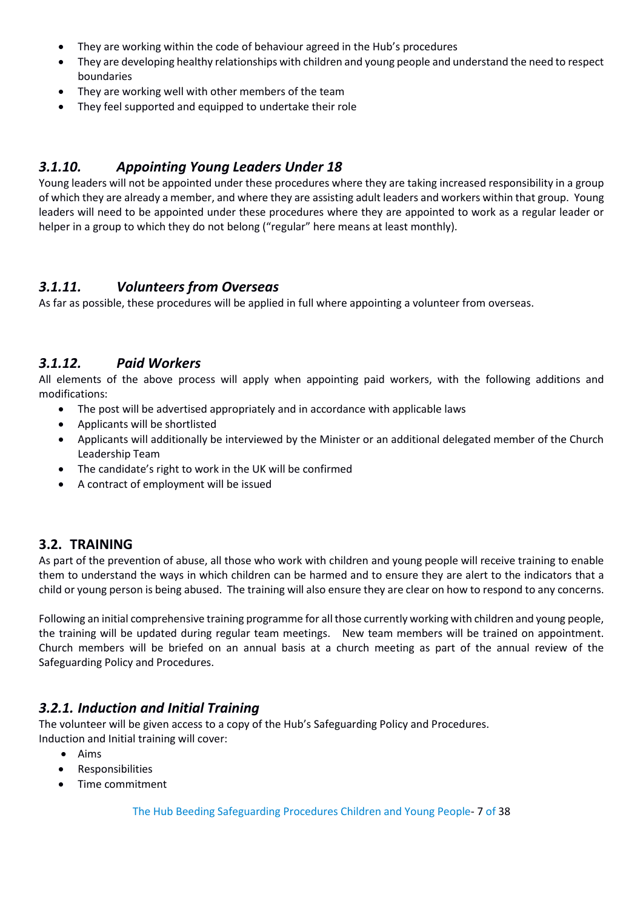- They are working within the code of behaviour agreed in the Hub's procedures
- They are developing healthy relationships with children and young people and understand the need to respect boundaries
- They are working well with other members of the team
- They feel supported and equipped to undertake their role

### <span id="page-6-0"></span>*3.1.10. Appointing Young Leaders Under 18*

Young leaders will not be appointed under these procedures where they are taking increased responsibility in a group of which they are already a member, and where they are assisting adult leaders and workers within that group. Young leaders will need to be appointed under these procedures where they are appointed to work as a regular leader or helper in a group to which they do not belong ("regular" here means at least monthly).

#### <span id="page-6-1"></span>*3.1.11. Volunteers from Overseas*

As far as possible, these procedures will be applied in full where appointing a volunteer from overseas.

#### <span id="page-6-2"></span>*3.1.12. Paid Workers*

All elements of the above process will apply when appointing paid workers, with the following additions and modifications:

- The post will be advertised appropriately and in accordance with applicable laws
- Applicants will be shortlisted
- Applicants will additionally be interviewed by the Minister or an additional delegated member of the Church Leadership Team
- The candidate's right to work in the UK will be confirmed
- A contract of employment will be issued

#### <span id="page-6-3"></span>**3.2. TRAINING**

As part of the prevention of abuse, all those who work with children and young people will receive training to enable them to understand the ways in which children can be harmed and to ensure they are alert to the indicators that a child or young person is being abused. The training will also ensure they are clear on how to respond to any concerns.

Following an initial comprehensive training programme for all those currently working with children and young people, the training will be updated during regular team meetings. New team members will be trained on appointment. Church members will be briefed on an annual basis at a church meeting as part of the annual review of the Safeguarding Policy and Procedures.

## <span id="page-6-4"></span>*3.2.1. Induction and Initial Training*

The volunteer will be given access to a copy of the Hub's Safeguarding Policy and Procedures. Induction and Initial training will cover:

- Aims
- Responsibilities
- Time commitment

The Hub Beeding Safeguarding Procedures Children and Young People- 7 of 38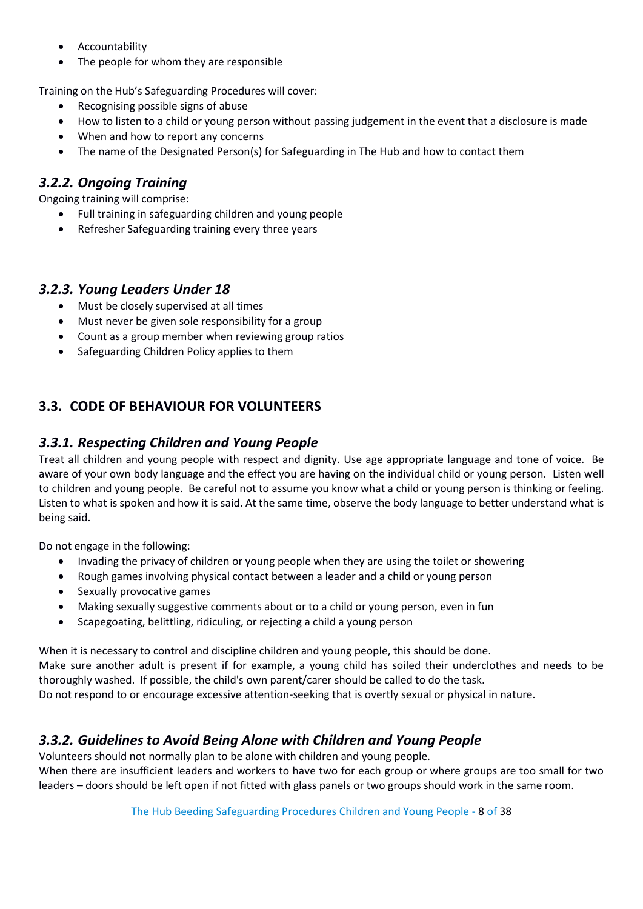- Accountability
- The people for whom they are responsible

Training on the Hub's Safeguarding Procedures will cover:

- Recognising possible signs of abuse
- How to listen to a child or young person without passing judgement in the event that a disclosure is made
- When and how to report any concerns
- The name of the Designated Person(s) for Safeguarding in The Hub and how to contact them

# <span id="page-7-0"></span>*3.2.2. Ongoing Training*

Ongoing training will comprise:

- Full training in safeguarding children and young people
- Refresher Safeguarding training every three years

#### <span id="page-7-1"></span>*3.2.3. Young Leaders Under 18*

- Must be closely supervised at all times
- Must never be given sole responsibility for a group
- Count as a group member when reviewing group ratios
- Safeguarding Children Policy applies to them

# <span id="page-7-2"></span>**3.3. CODE OF BEHAVIOUR FOR VOLUNTEERS**

#### <span id="page-7-3"></span>*3.3.1. Respecting Children and Young People*

Treat all children and young people with respect and dignity. Use age appropriate language and tone of voice. Be aware of your own body language and the effect you are having on the individual child or young person. Listen well to children and young people. Be careful not to assume you know what a child or young person is thinking or feeling. Listen to what is spoken and how it is said. At the same time, observe the body language to better understand what is being said.

Do not engage in the following:

- Invading the privacy of children or young people when they are using the toilet or showering
- Rough games involving physical contact between a leader and a child or young person
- Sexually provocative games
- Making sexually suggestive comments about or to a child or young person, even in fun
- Scapegoating, belittling, ridiculing, or rejecting a child a young person

When it is necessary to control and discipline children and young people, this should be done. Make sure another adult is present if for example, a young child has soiled their underclothes and needs to be thoroughly washed. If possible, the child's own parent/carer should be called to do the task. Do not respond to or encourage excessive attention-seeking that is overtly sexual or physical in nature.

## <span id="page-7-4"></span>*3.3.2. Guidelines to Avoid Being Alone with Children and Young People*

Volunteers should not normally plan to be alone with children and young people. When there are insufficient leaders and workers to have two for each group or where groups are too small for two leaders – doors should be left open if not fitted with glass panels or two groups should work in the same room.

The Hub Beeding Safeguarding Procedures Children and Young People - 8 of 38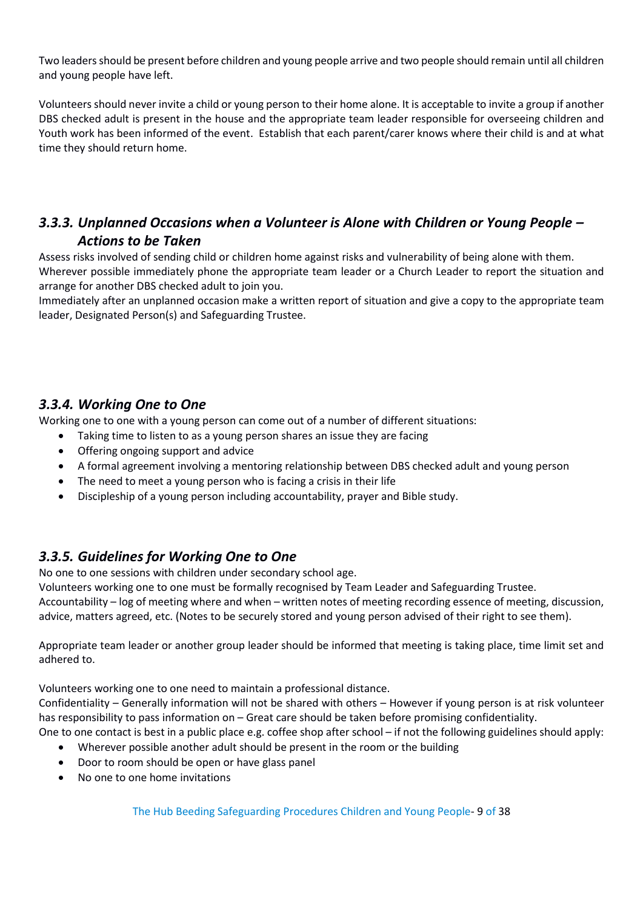Two leaders should be present before children and young people arrive and two people should remain until all children and young people have left.

Volunteers should never invite a child or young person to their home alone. It is acceptable to invite a group if another DBS checked adult is present in the house and the appropriate team leader responsible for overseeing children and Youth work has been informed of the event. Establish that each parent/carer knows where their child is and at what time they should return home.

# <span id="page-8-0"></span>*3.3.3. Unplanned Occasions when a Volunteer is Alone with Children or Young People – Actions to be Taken*

Assess risks involved of sending child or children home against risks and vulnerability of being alone with them. Wherever possible immediately phone the appropriate team leader or a Church Leader to report the situation and arrange for another DBS checked adult to join you.

Immediately after an unplanned occasion make a written report of situation and give a copy to the appropriate team leader, Designated Person(s) and Safeguarding Trustee.

## <span id="page-8-1"></span>*3.3.4. Working One to One*

Working one to one with a young person can come out of a number of different situations:

- Taking time to listen to as a young person shares an issue they are facing
- Offering ongoing support and advice
- A formal agreement involving a mentoring relationship between DBS checked adult and young person
- The need to meet a young person who is facing a crisis in their life
- Discipleship of a young person including accountability, prayer and Bible study.

# <span id="page-8-2"></span>*3.3.5. Guidelines for Working One to One*

No one to one sessions with children under secondary school age.

Volunteers working one to one must be formally recognised by Team Leader and Safeguarding Trustee.

Accountability – log of meeting where and when – written notes of meeting recording essence of meeting, discussion, advice, matters agreed, etc. (Notes to be securely stored and young person advised of their right to see them).

Appropriate team leader or another group leader should be informed that meeting is taking place, time limit set and adhered to.

Volunteers working one to one need to maintain a professional distance.

Confidentiality – Generally information will not be shared with others – However if young person is at risk volunteer has responsibility to pass information on – Great care should be taken before promising confidentiality.

One to one contact is best in a public place e.g. coffee shop after school – if not the following guidelines should apply:

- Wherever possible another adult should be present in the room or the building
- Door to room should be open or have glass panel
- No one to one home invitations

The Hub Beeding Safeguarding Procedures Children and Young People- 9 of 38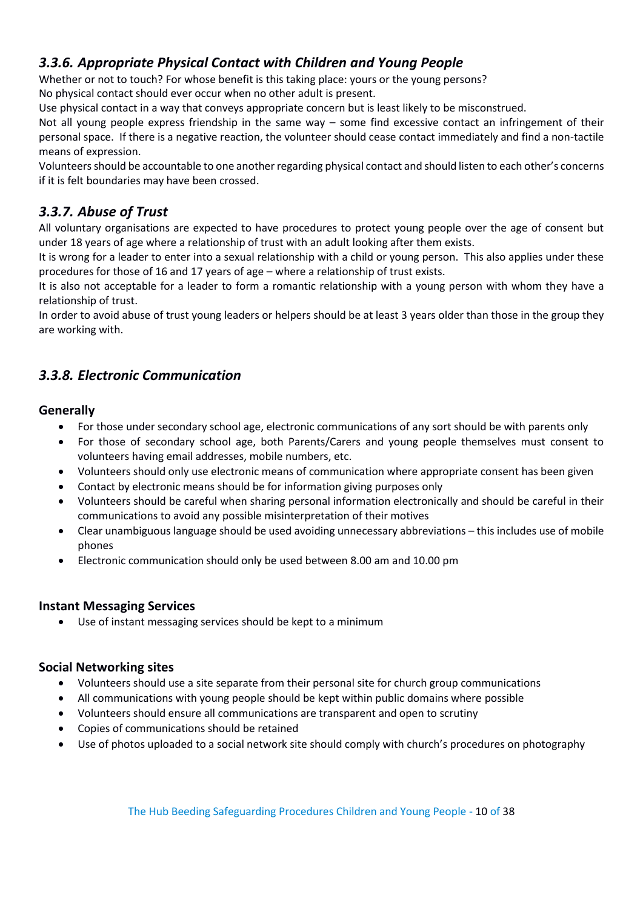# <span id="page-9-0"></span>*3.3.6. Appropriate Physical Contact with Children and Young People*

Whether or not to touch? For whose benefit is this taking place: yours or the young persons? No physical contact should ever occur when no other adult is present.

Use physical contact in a way that conveys appropriate concern but is least likely to be misconstrued.

Not all young people express friendship in the same way – some find excessive contact an infringement of their personal space. If there is a negative reaction, the volunteer should cease contact immediately and find a non-tactile means of expression.

Volunteers should be accountable to one another regarding physical contact and should listen to each other's concerns if it is felt boundaries may have been crossed.

# <span id="page-9-1"></span>*3.3.7. Abuse of Trust*

All voluntary organisations are expected to have procedures to protect young people over the age of consent but under 18 years of age where a relationship of trust with an adult looking after them exists.

It is wrong for a leader to enter into a sexual relationship with a child or young person. This also applies under these procedures for those of 16 and 17 years of age – where a relationship of trust exists.

It is also not acceptable for a leader to form a romantic relationship with a young person with whom they have a relationship of trust.

In order to avoid abuse of trust young leaders or helpers should be at least 3 years older than those in the group they are working with.

# <span id="page-9-2"></span>*3.3.8. Electronic Communication*

## <span id="page-9-3"></span>**Generally**

- For those under secondary school age, electronic communications of any sort should be with parents only
- For those of secondary school age, both Parents/Carers and young people themselves must consent to volunteers having email addresses, mobile numbers, etc.
- Volunteers should only use electronic means of communication where appropriate consent has been given
- Contact by electronic means should be for information giving purposes only
- Volunteers should be careful when sharing personal information electronically and should be careful in their communications to avoid any possible misinterpretation of their motives
- Clear unambiguous language should be used avoiding unnecessary abbreviations this includes use of mobile phones
- Electronic communication should only be used between 8.00 am and 10.00 pm

## <span id="page-9-4"></span>**Instant Messaging Services**

• Use of instant messaging services should be kept to a minimum

## <span id="page-9-5"></span>**Social Networking sites**

- Volunteers should use a site separate from their personal site for church group communications
- All communications with young people should be kept within public domains where possible
- Volunteers should ensure all communications are transparent and open to scrutiny
- Copies of communications should be retained
- Use of photos uploaded to a social network site should comply with church's procedures on photography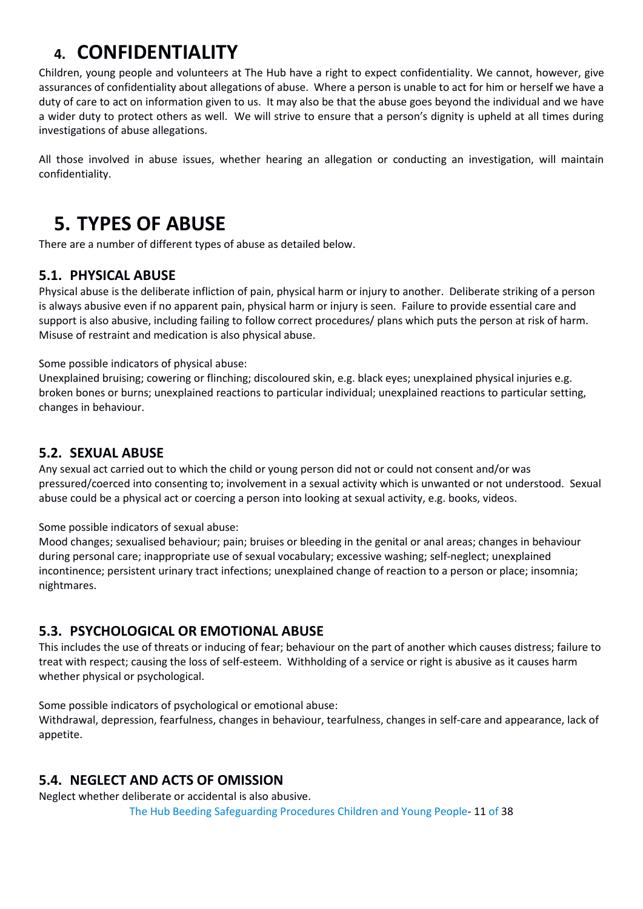# <span id="page-10-0"></span>**4. CONFIDENTIALITY**

Children, young people and volunteers at The Hub have a right to expect confidentiality. We cannot, however, give assurances of confidentiality about allegations of abuse. Where a person is unable to act for him or herself we have a duty of care to act on information given to us. It may also be that the abuse goes beyond the individual and we have a wider duty to protect others as well. We will strive to ensure that a person's dignity is upheld at all times during investigations of abuse allegations.

All those involved in abuse issues, whether hearing an allegation or conducting an investigation, will maintain confidentiality.

# <span id="page-10-1"></span>**5. TYPES OF ABUSE**

There are a number of different types of abuse as detailed below.

# <span id="page-10-2"></span>**5.1. PHYSICAL ABUSE**

Physical abuse is the deliberate infliction of pain, physical harm or injury to another. Deliberate striking of a person is always abusive even if no apparent pain, physical harm or injury is seen. Failure to provide essential care and support is also abusive, including failing to follow correct procedures/ plans which puts the person at risk of harm. Misuse of restraint and medication is also physical abuse.

Some possible indicators of physical abuse:

Unexplained bruising; cowering or flinching; discoloured skin, e.g. black eyes; unexplained physical injuries e.g. broken bones or burns; unexplained reactions to particular individual; unexplained reactions to particular setting, changes in behaviour.

### <span id="page-10-3"></span>**5.2. SEXUAL ABUSE**

Any sexual act carried out to which the child or young person did not or could not consent and/or was pressured/coerced into consenting to; involvement in a sexual activity which is unwanted or not understood. Sexual abuse could be a physical act or coercing a person into looking at sexual activity, e.g. books, videos.

Some possible indicators of sexual abuse:

Mood changes; sexualised behaviour; pain; bruises or bleeding in the genital or anal areas; changes in behaviour during personal care; inappropriate use of sexual vocabulary; excessive washing; self-neglect; unexplained incontinence; persistent urinary tract infections; unexplained change of reaction to a person or place; insomnia; nightmares.

# <span id="page-10-4"></span>**5.3. PSYCHOLOGICAL OR EMOTIONAL ABUSE**

This includes the use of threats or inducing of fear; behaviour on the part of another which causes distress; failure to treat with respect; causing the loss of self-esteem. Withholding of a service or right is abusive as it causes harm whether physical or psychological.

Some possible indicators of psychological or emotional abuse:

Withdrawal, depression, fearfulness, changes in behaviour, tearfulness, changes in self-care and appearance, lack of appetite.

## <span id="page-10-5"></span>**5.4. NEGLECT AND ACTS OF OMISSION**

Neglect whether deliberate or accidental is also abusive.

The Hub Beeding Safeguarding Procedures Children and Young People- 11 of 38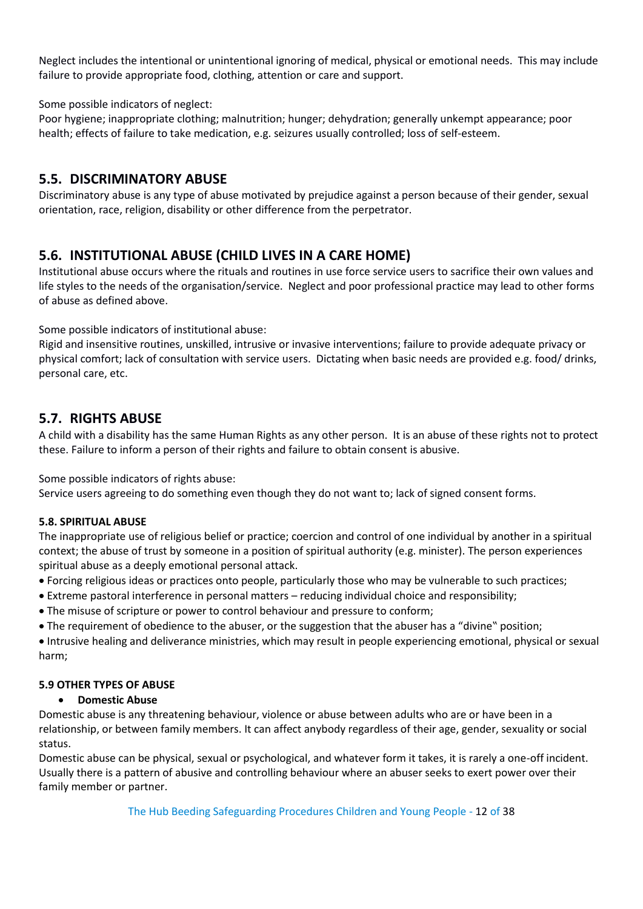Neglect includes the intentional or unintentional ignoring of medical, physical or emotional needs. This may include failure to provide appropriate food, clothing, attention or care and support.

Some possible indicators of neglect:

Poor hygiene; inappropriate clothing; malnutrition; hunger; dehydration; generally unkempt appearance; poor health; effects of failure to take medication, e.g. seizures usually controlled; loss of self-esteem.

### <span id="page-11-0"></span>**5.5. DISCRIMINATORY ABUSE**

Discriminatory abuse is any type of abuse motivated by prejudice against a person because of their gender, sexual orientation, race, religion, disability or other difference from the perpetrator.

# <span id="page-11-1"></span>**5.6. INSTITUTIONAL ABUSE (CHILD LIVES IN A CARE HOME)**

Institutional abuse occurs where the rituals and routines in use force service users to sacrifice their own values and life styles to the needs of the organisation/service. Neglect and poor professional practice may lead to other forms of abuse as defined above.

Some possible indicators of institutional abuse:

Rigid and insensitive routines, unskilled, intrusive or invasive interventions; failure to provide adequate privacy or physical comfort; lack of consultation with service users. Dictating when basic needs are provided e.g. food/ drinks, personal care, etc.

# <span id="page-11-2"></span>**5.7. RIGHTS ABUSE**

A child with a disability has the same Human Rights as any other person. It is an abuse of these rights not to protect these. Failure to inform a person of their rights and failure to obtain consent is abusive.

Some possible indicators of rights abuse:

Service users agreeing to do something even though they do not want to; lack of signed consent forms.

#### **5.8. SPIRITUAL ABUSE**

The inappropriate use of religious belief or practice; coercion and control of one individual by another in a spiritual context; the abuse of trust by someone in a position of spiritual authority (e.g. minister). The person experiences spiritual abuse as a deeply emotional personal attack.

• Forcing religious ideas or practices onto people, particularly those who may be vulnerable to such practices;

- Extreme pastoral interference in personal matters reducing individual choice and responsibility;
- The misuse of scripture or power to control behaviour and pressure to conform;
- The requirement of obedience to the abuser, or the suggestion that the abuser has a "divine" position;

• Intrusive healing and deliverance ministries, which may result in people experiencing emotional, physical or sexual harm;

#### **5.9 OTHER TYPES OF ABUSE**

#### • **Domestic Abuse**

Domestic abuse is any threatening behaviour, violence or abuse between adults who are or have been in a relationship, or between family members. It can affect anybody regardless of their age, gender, sexuality or social status.

Domestic abuse can be physical, sexual or psychological, and whatever form it takes, it is rarely a one-off incident. Usually there is a pattern of abusive and controlling behaviour where an abuser seeks to exert power over their family member or partner.

The Hub Beeding Safeguarding Procedures Children and Young People - 12 of 38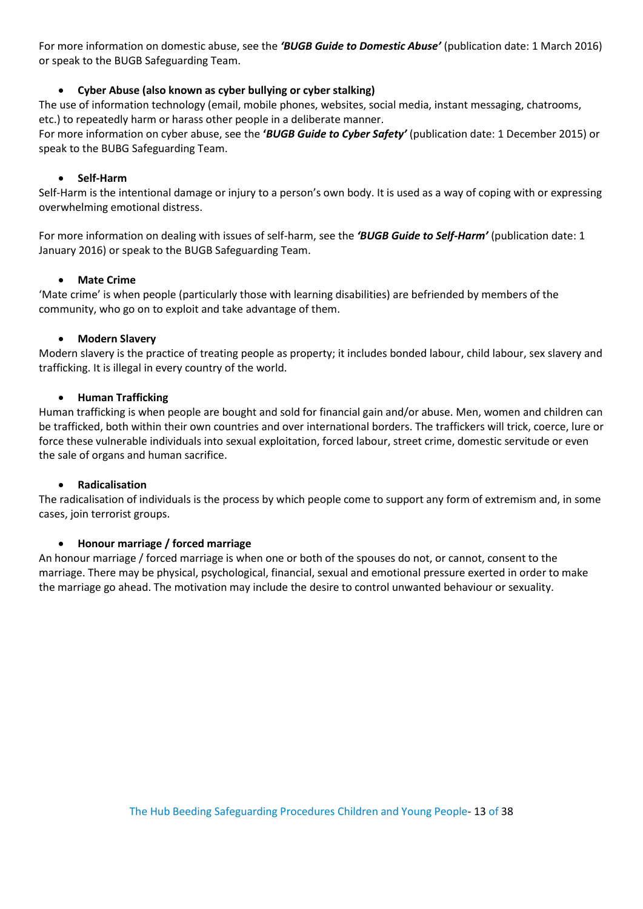For more information on domestic abuse, see the *'BUGB Guide to Domestic Abuse'* (publication date: 1 March 2016) or speak to the BUGB Safeguarding Team.

#### • **Cyber Abuse (also known as cyber bullying or cyber stalking)**

The use of information technology (email, mobile phones, websites, social media, instant messaging, chatrooms, etc.) to repeatedly harm or harass other people in a deliberate manner.

For more information on cyber abuse, see the **'***BUGB Guide to Cyber Safety'* (publication date: 1 December 2015) or speak to the BUBG Safeguarding Team.

#### • **Self-Harm**

Self-Harm is the intentional damage or injury to a person's own body. It is used as a way of coping with or expressing overwhelming emotional distress.

For more information on dealing with issues of self-harm, see the *'BUGB Guide to Self-Harm'* (publication date: 1 January 2016) or speak to the BUGB Safeguarding Team.

#### • **Mate Crime**

'Mate crime' is when people (particularly those with learning disabilities) are befriended by members of the community, who go on to exploit and take advantage of them.

#### • **Modern Slavery**

Modern slavery is the practice of treating people as property; it includes bonded labour, child labour, sex slavery and trafficking. It is illegal in every country of the world.

#### • **Human Trafficking**

Human trafficking is when people are bought and sold for financial gain and/or abuse. Men, women and children can be trafficked, both within their own countries and over international borders. The traffickers will trick, coerce, lure or force these vulnerable individuals into sexual exploitation, forced labour, street crime, domestic servitude or even the sale of organs and human sacrifice.

#### • **Radicalisation**

The radicalisation of individuals is the process by which people come to support any form of extremism and, in some cases, join terrorist groups.

#### • **Honour marriage / forced marriage**

An honour marriage / forced marriage is when one or both of the spouses do not, or cannot, consent to the marriage. There may be physical, psychological, financial, sexual and emotional pressure exerted in order to make the marriage go ahead. The motivation may include the desire to control unwanted behaviour or sexuality.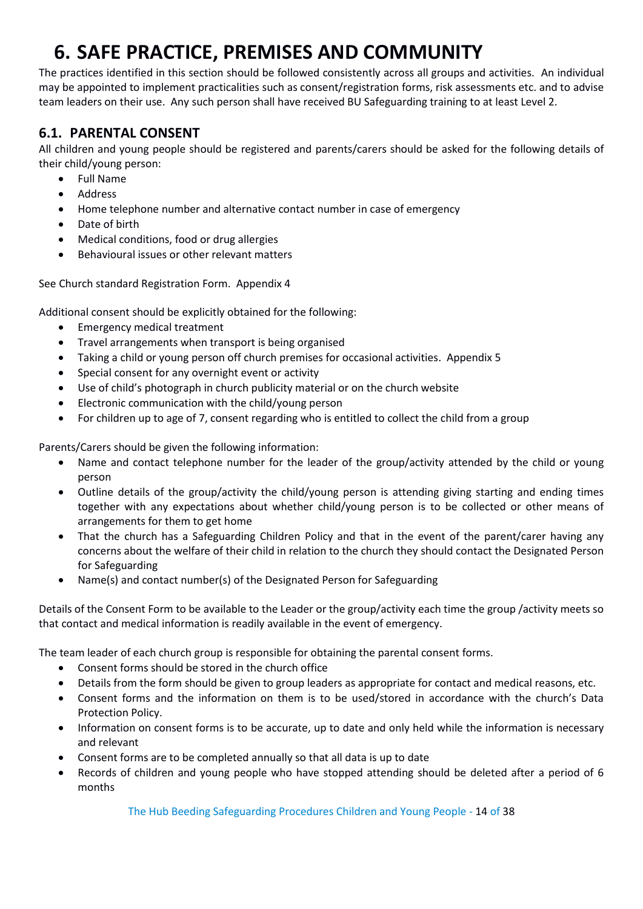# <span id="page-13-0"></span>**6. SAFE PRACTICE, PREMISES AND COMMUNITY**

The practices identified in this section should be followed consistently across all groups and activities. An individual may be appointed to implement practicalities such as consent/registration forms, risk assessments etc. and to advise team leaders on their use. Any such person shall have received BU Safeguarding training to at least Level 2.

# <span id="page-13-1"></span>**6.1. PARENTAL CONSENT**

All children and young people should be registered and parents/carers should be asked for the following details of their child/young person:

- Full Name
- **Address**
- Home telephone number and alternative contact number in case of emergency
- Date of birth
- Medical conditions, food or drug allergies
- Behavioural issues or other relevant matters

See Church standard Registration Form. Appendix 4

Additional consent should be explicitly obtained for the following:

- Emergency medical treatment
- Travel arrangements when transport is being organised
- Taking a child or young person off church premises for occasional activities. Appendix 5
- Special consent for any overnight event or activity
- Use of child's photograph in church publicity material or on the church website
- Electronic communication with the child/young person
- For children up to age of 7, consent regarding who is entitled to collect the child from a group

Parents/Carers should be given the following information:

- Name and contact telephone number for the leader of the group/activity attended by the child or young person
- Outline details of the group/activity the child/young person is attending giving starting and ending times together with any expectations about whether child/young person is to be collected or other means of arrangements for them to get home
- That the church has a Safeguarding Children Policy and that in the event of the parent/carer having any concerns about the welfare of their child in relation to the church they should contact the Designated Person for Safeguarding
- Name(s) and contact number(s) of the Designated Person for Safeguarding

Details of the Consent Form to be available to the Leader or the group/activity each time the group /activity meets so that contact and medical information is readily available in the event of emergency.

The team leader of each church group is responsible for obtaining the parental consent forms.

- Consent forms should be stored in the church office
- Details from the form should be given to group leaders as appropriate for contact and medical reasons, etc.
- Consent forms and the information on them is to be used/stored in accordance with the church's Data Protection Policy.
- Information on consent forms is to be accurate, up to date and only held while the information is necessary and relevant
- Consent forms are to be completed annually so that all data is up to date
- Records of children and young people who have stopped attending should be deleted after a period of 6 months

The Hub Beeding Safeguarding Procedures Children and Young People - 14 of 38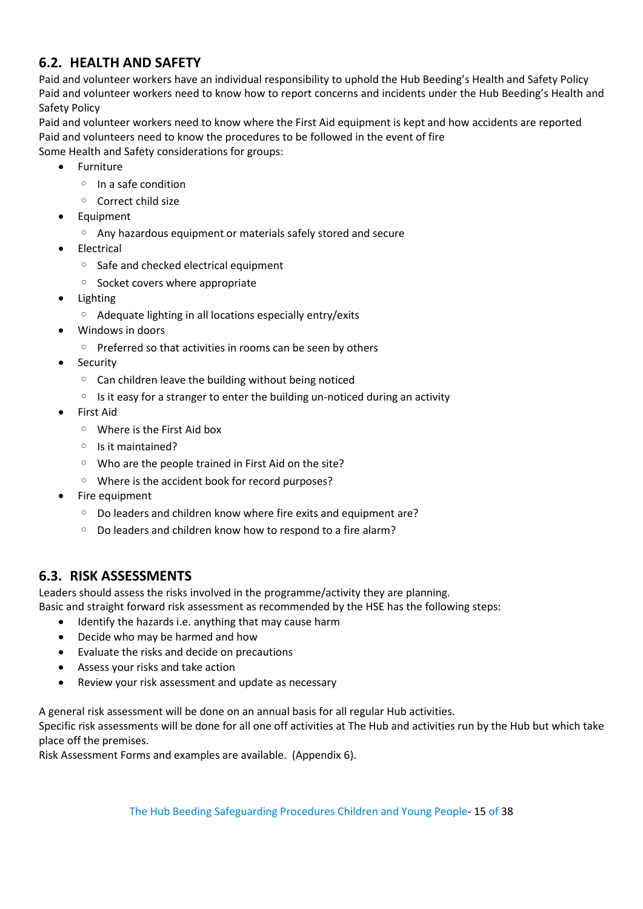# <span id="page-14-0"></span>**6.2. HEALTH AND SAFETY**

Paid and volunteer workers have an individual responsibility to uphold the Hub Beeding's Health and Safety Policy Paid and volunteer workers need to know how to report concerns and incidents under the Hub Beeding's Health and Safety Policy

Paid and volunteer workers need to know where the First Aid equipment is kept and how accidents are reported Paid and volunteers need to know the procedures to be followed in the event of fire Some Health and Safety considerations for groups:

- Furniture
	- In a safe condition
	- Correct child size
- **Equipment** 
	- Any hazardous equipment or materials safely stored and secure
- Electrical
	- Safe and checked electrical equipment
	- Socket covers where appropriate
- Lighting
	- Adequate lighting in all locations especially entry/exits
- Windows in doors
	- Preferred so that activities in rooms can be seen by others
- Security
	- Can children leave the building without being noticed
	- Is it easy for a stranger to enter the building un-noticed during an activity
- First Aid
	- Where is the First Aid box
	- Is it maintained?
	- Who are the people trained in First Aid on the site?
	- Where is the accident book for record purposes?
- Fire equipment
	- Do leaders and children know where fire exits and equipment are?
	- Do leaders and children know how to respond to a fire alarm?

## <span id="page-14-1"></span>**6.3. RISK ASSESSMENTS**

Leaders should assess the risks involved in the programme/activity they are planning.

Basic and straight forward risk assessment as recommended by the HSE has the following steps:

- Identify the hazards i.e. anything that may cause harm
- Decide who may be harmed and how
- Evaluate the risks and decide on precautions
- Assess your risks and take action
- Review your risk assessment and update as necessary

A general risk assessment will be done on an annual basis for all regular Hub activities.

Specific risk assessments will be done for all one off activities at The Hub and activities run by the Hub but which take place off the premises.

Risk Assessment Forms and examples are available. (Appendix 6).

The Hub Beeding Safeguarding Procedures Children and Young People- 15 of 38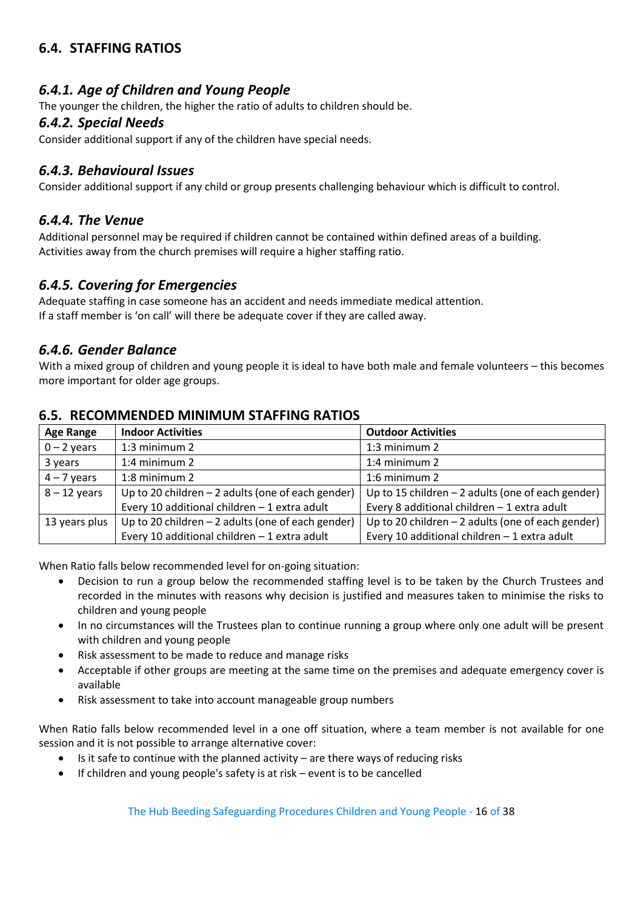# <span id="page-15-0"></span>**6.4. STAFFING RATIOS**

### <span id="page-15-1"></span>*6.4.1. Age of Children and Young People*

The younger the children, the higher the ratio of adults to children should be.

#### <span id="page-15-2"></span>*6.4.2. Special Needs*

Consider additional support if any of the children have special needs.

#### <span id="page-15-3"></span>*6.4.3. Behavioural Issues*

Consider additional support if any child or group presents challenging behaviour which is difficult to control.

#### <span id="page-15-4"></span>*6.4.4. The Venue*

Additional personnel may be required if children cannot be contained within defined areas of a building. Activities away from the church premises will require a higher staffing ratio.

#### <span id="page-15-5"></span>*6.4.5. Covering for Emergencies*

Adequate staffing in case someone has an accident and needs immediate medical attention. If a staff member is 'on call' will there be adequate cover if they are called away.

#### <span id="page-15-6"></span>*6.4.6. Gender Balance*

With a mixed group of children and young people it is ideal to have both male and female volunteers – this becomes more important for older age groups.

#### <span id="page-15-7"></span>**6.5. RECOMMENDED MINIMUM STAFFING RATIOS**

| <b>Age Range</b>                                                     | <b>Indoor Activities</b>                           | <b>Outdoor Activities</b>                          |
|----------------------------------------------------------------------|----------------------------------------------------|----------------------------------------------------|
| $0 - 2$ years                                                        | 1:3 minimum 2                                      | 1:3 minimum 2                                      |
| 3 years                                                              | 1:4 minimum $2$                                    | 1:4 minimum $2$                                    |
| $4 - 7$ years                                                        | 1:8 minimum 2                                      | 1:6 minimum 2                                      |
| $8 - 12$ years<br>Up to 20 children $-2$ adults (one of each gender) |                                                    | Up to 15 children $-2$ adults (one of each gender) |
|                                                                      | Every 10 additional children $-1$ extra adult      | Every 8 additional children - 1 extra adult        |
| 13 years plus                                                        | Up to 20 children $-2$ adults (one of each gender) | Up to 20 children $-2$ adults (one of each gender) |
|                                                                      | Every 10 additional children - 1 extra adult       | Every 10 additional children - 1 extra adult       |

When Ratio falls below recommended level for on-going situation:

- Decision to run a group below the recommended staffing level is to be taken by the Church Trustees and recorded in the minutes with reasons why decision is justified and measures taken to minimise the risks to children and young people
- In no circumstances will the Trustees plan to continue running a group where only one adult will be present with children and young people
- Risk assessment to be made to reduce and manage risks
- Acceptable if other groups are meeting at the same time on the premises and adequate emergency cover is available
- Risk assessment to take into account manageable group numbers

When Ratio falls below recommended level in a one off situation, where a team member is not available for one session and it is not possible to arrange alternative cover:

- $\bullet$  Is it safe to continue with the planned activity are there ways of reducing risks
- If children and young people's safety is at risk event is to be cancelled

The Hub Beeding Safeguarding Procedures Children and Young People - 16 of 38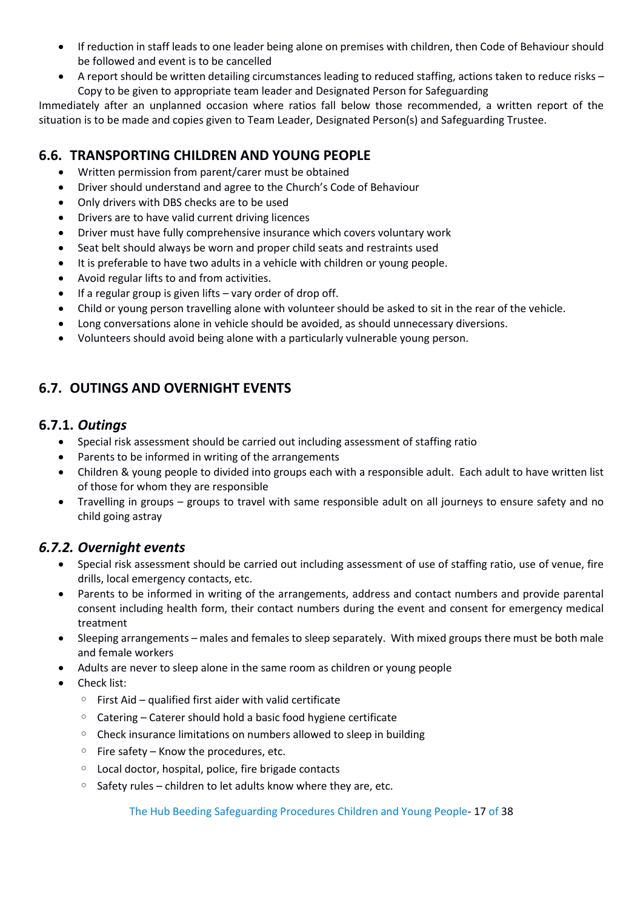- If reduction in staff leads to one leader being alone on premises with children, then Code of Behaviour should be followed and event is to be cancelled
- A report should be written detailing circumstances leading to reduced staffing, actions taken to reduce risks Copy to be given to appropriate team leader and Designated Person for Safeguarding

Immediately after an unplanned occasion where ratios fall below those recommended, a written report of the situation is to be made and copies given to Team Leader, Designated Person(s) and Safeguarding Trustee.

# <span id="page-16-0"></span>**6.6. TRANSPORTING CHILDREN AND YOUNG PEOPLE**

- Written permission from parent/carer must be obtained
- Driver should understand and agree to the Church's Code of Behaviour
- Only drivers with DBS checks are to be used
- Drivers are to have valid current driving licences
- Driver must have fully comprehensive insurance which covers voluntary work
- Seat belt should always be worn and proper child seats and restraints used
- It is preferable to have two adults in a vehicle with children or young people.
- Avoid regular lifts to and from activities.
- $\bullet$  If a regular group is given lifts vary order of drop off.
- Child or young person travelling alone with volunteer should be asked to sit in the rear of the vehicle.
- Long conversations alone in vehicle should be avoided, as should unnecessary diversions.
- Volunteers should avoid being alone with a particularly vulnerable young person.

# <span id="page-16-1"></span>**6.7. OUTINGS AND OVERNIGHT EVENTS**

#### <span id="page-16-2"></span>**6.7.1.** *Outings*

- Special risk assessment should be carried out including assessment of staffing ratio
- Parents to be informed in writing of the arrangements
- Children & young people to divided into groups each with a responsible adult. Each adult to have written list of those for whom they are responsible
- Travelling in groups groups to travel with same responsible adult on all journeys to ensure safety and no child going astray

## <span id="page-16-3"></span>*6.7.2. Overnight events*

- Special risk assessment should be carried out including assessment of use of staffing ratio, use of venue, fire drills, local emergency contacts, etc.
- Parents to be informed in writing of the arrangements, address and contact numbers and provide parental consent including health form, their contact numbers during the event and consent for emergency medical treatment
- Sleeping arrangements males and females to sleep separately. With mixed groups there must be both male and female workers
- Adults are never to sleep alone in the same room as children or young people
- Check list:
	- First Aid qualified first aider with valid certificate
	- Catering Caterer should hold a basic food hygiene certificate
	- Check insurance limitations on numbers allowed to sleep in building
	- Fire safety Know the procedures, etc.
	- Local doctor, hospital, police, fire brigade contacts
	- Safety rules children to let adults know where they are, etc.

The Hub Beeding Safeguarding Procedures Children and Young People- 17 of 38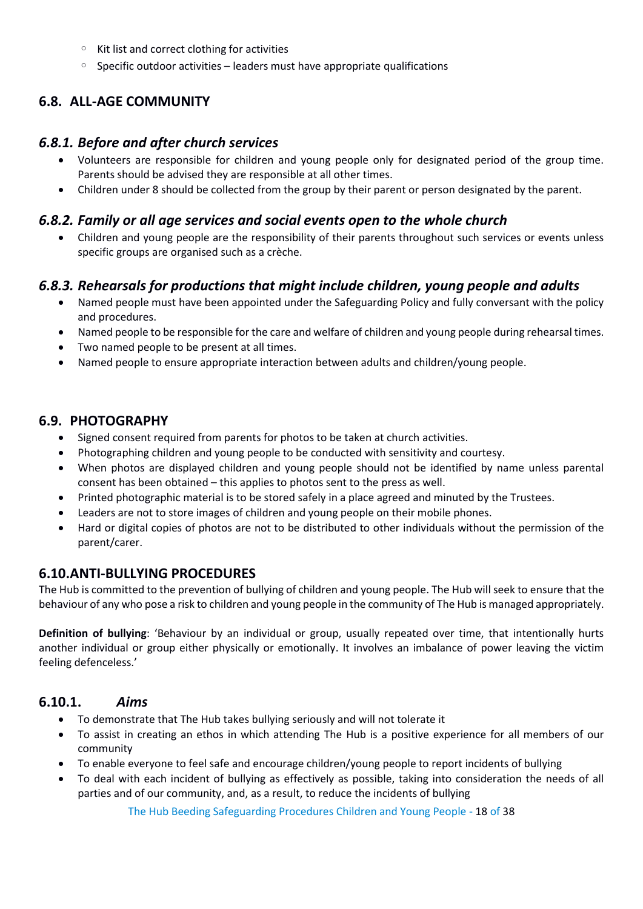- Kit list and correct clothing for activities
- Specific outdoor activities leaders must have appropriate qualifications

## <span id="page-17-0"></span>**6.8. ALL-AGE COMMUNITY**

#### <span id="page-17-1"></span>*6.8.1. Before and after church services*

- Volunteers are responsible for children and young people only for designated period of the group time. Parents should be advised they are responsible at all other times.
- Children under 8 should be collected from the group by their parent or person designated by the parent.

### <span id="page-17-2"></span>*6.8.2. Family or all age services and social events open to the whole church*

• Children and young people are the responsibility of their parents throughout such services or events unless specific groups are organised such as a crèche.

## <span id="page-17-3"></span>*6.8.3. Rehearsals for productions that might include children, young people and adults*

- Named people must have been appointed under the Safeguarding Policy and fully conversant with the policy and procedures.
- Named people to be responsible for the care and welfare of children and young people during rehearsal times.
- Two named people to be present at all times.
- Named people to ensure appropriate interaction between adults and children/young people.

## <span id="page-17-4"></span>**6.9. PHOTOGRAPHY**

- Signed consent required from parents for photos to be taken at church activities.
- Photographing children and young people to be conducted with sensitivity and courtesy.
- When photos are displayed children and young people should not be identified by name unless parental consent has been obtained – this applies to photos sent to the press as well.
- Printed photographic material is to be stored safely in a place agreed and minuted by the Trustees.
- Leaders are not to store images of children and young people on their mobile phones.
- Hard or digital copies of photos are not to be distributed to other individuals without the permission of the parent/carer.

#### <span id="page-17-5"></span>**6.10.ANTI-BULLYING PROCEDURES**

The Hub is committed to the prevention of bullying of children and young people. The Hub will seek to ensure that the behaviour of any who pose a risk to children and young people in the community of The Hub is managed appropriately.

**Definition of bullying**: 'Behaviour by an individual or group, usually repeated over time, that intentionally hurts another individual or group either physically or emotionally. It involves an imbalance of power leaving the victim feeling defenceless.'

#### <span id="page-17-6"></span>**6.10.1.** *Aims*

- To demonstrate that The Hub takes bullying seriously and will not tolerate it
- To assist in creating an ethos in which attending The Hub is a positive experience for all members of our community
- To enable everyone to feel safe and encourage children/young people to report incidents of bullying
- To deal with each incident of bullying as effectively as possible, taking into consideration the needs of all parties and of our community, and, as a result, to reduce the incidents of bullying

The Hub Beeding Safeguarding Procedures Children and Young People - 18 of 38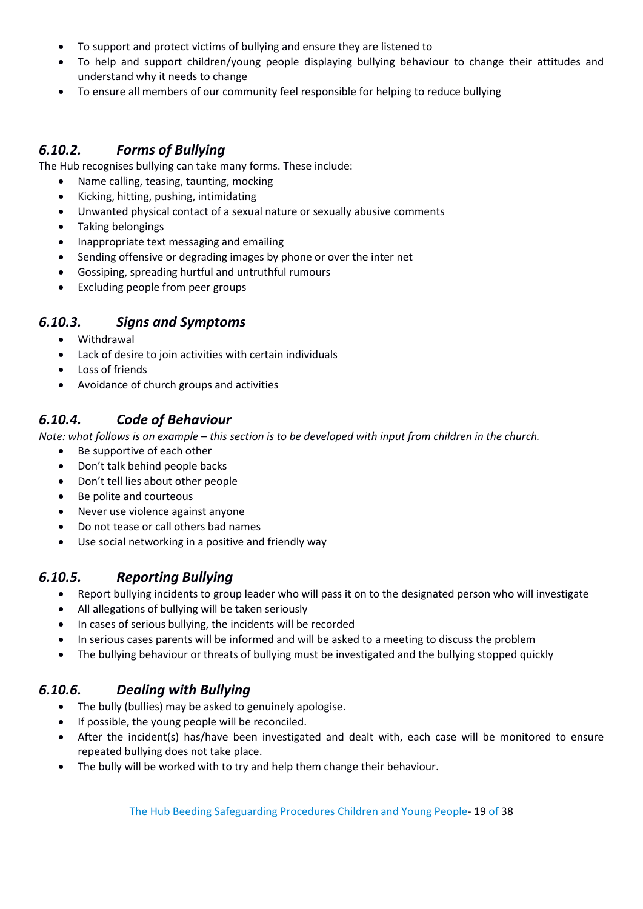- To support and protect victims of bullying and ensure they are listened to
- To help and support children/young people displaying bullying behaviour to change their attitudes and understand why it needs to change
- To ensure all members of our community feel responsible for helping to reduce bullying

# <span id="page-18-0"></span>*6.10.2. Forms of Bullying*

The Hub recognises bullying can take many forms. These include:

- Name calling, teasing, taunting, mocking
- Kicking, hitting, pushing, intimidating
- Unwanted physical contact of a sexual nature or sexually abusive comments
- Taking belongings
- Inappropriate text messaging and emailing
- Sending offensive or degrading images by phone or over the inter net
- Gossiping, spreading hurtful and untruthful rumours
- Excluding people from peer groups

## <span id="page-18-1"></span>*6.10.3. Signs and Symptoms*

- Withdrawal
- Lack of desire to join activities with certain individuals
- Loss of friends
- Avoidance of church groups and activities

# <span id="page-18-2"></span>*6.10.4. Code of Behaviour*

*Note: what follows is an example – this section is to be developed with input from children in the church.*

- Be supportive of each other
- Don't talk behind people backs
- Don't tell lies about other people
- Be polite and courteous
- Never use violence against anyone
- Do not tease or call others bad names
- Use social networking in a positive and friendly way

## <span id="page-18-3"></span>*6.10.5. Reporting Bullying*

- Report bullying incidents to group leader who will pass it on to the designated person who will investigate
- All allegations of bullying will be taken seriously
- In cases of serious bullying, the incidents will be recorded
- In serious cases parents will be informed and will be asked to a meeting to discuss the problem
- The bullying behaviour or threats of bullying must be investigated and the bullying stopped quickly

# <span id="page-18-4"></span>*6.10.6. Dealing with Bullying*

- The bully (bullies) may be asked to genuinely apologise.
- If possible, the young people will be reconciled.
- After the incident(s) has/have been investigated and dealt with, each case will be monitored to ensure repeated bullying does not take place.
- The bully will be worked with to try and help them change their behaviour.

The Hub Beeding Safeguarding Procedures Children and Young People- 19 of 38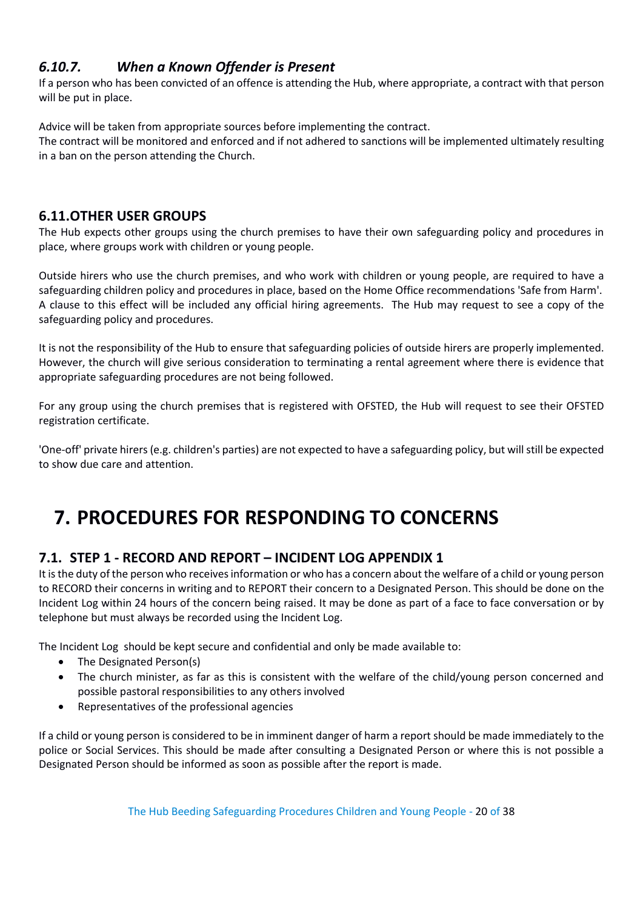# <span id="page-19-0"></span>*6.10.7. When a Known Offender is Present*

If a person who has been convicted of an offence is attending the Hub, where appropriate, a contract with that person will be put in place.

Advice will be taken from appropriate sources before implementing the contract.

The contract will be monitored and enforced and if not adhered to sanctions will be implemented ultimately resulting in a ban on the person attending the Church.

# <span id="page-19-1"></span>**6.11.OTHER USER GROUPS**

The Hub expects other groups using the church premises to have their own safeguarding policy and procedures in place, where groups work with children or young people.

Outside hirers who use the church premises, and who work with children or young people, are required to have a safeguarding children policy and procedures in place, based on the Home Office recommendations 'Safe from Harm'. A clause to this effect will be included any official hiring agreements. The Hub may request to see a copy of the safeguarding policy and procedures.

It is not the responsibility of the Hub to ensure that safeguarding policies of outside hirers are properly implemented. However, the church will give serious consideration to terminating a rental agreement where there is evidence that appropriate safeguarding procedures are not being followed.

For any group using the church premises that is registered with OFSTED, the Hub will request to see their OFSTED registration certificate.

'One-off' private hirers (e.g. children's parties) are not expected to have a safeguarding policy, but will still be expected to show due care and attention.

# <span id="page-19-2"></span>**7. PROCEDURES FOR RESPONDING TO CONCERNS**

# <span id="page-19-3"></span>**7.1. STEP 1 - RECORD AND REPORT – INCIDENT LOG APPENDIX 1**

It is the duty of the person who receives information or who has a concern about the welfare of a child or young person to RECORD their concerns in writing and to REPORT their concern to a Designated Person. This should be done on the Incident Log within 24 hours of the concern being raised. It may be done as part of a face to face conversation or by telephone but must always be recorded using the Incident Log.

The Incident Log should be kept secure and confidential and only be made available to:

- The Designated Person(s)
- The church minister, as far as this is consistent with the welfare of the child/young person concerned and possible pastoral responsibilities to any others involved
- Representatives of the professional agencies

If a child or young person is considered to be in imminent danger of harm a report should be made immediately to the police or Social Services. This should be made after consulting a Designated Person or where this is not possible a Designated Person should be informed as soon as possible after the report is made.

The Hub Beeding Safeguarding Procedures Children and Young People - 20 of 38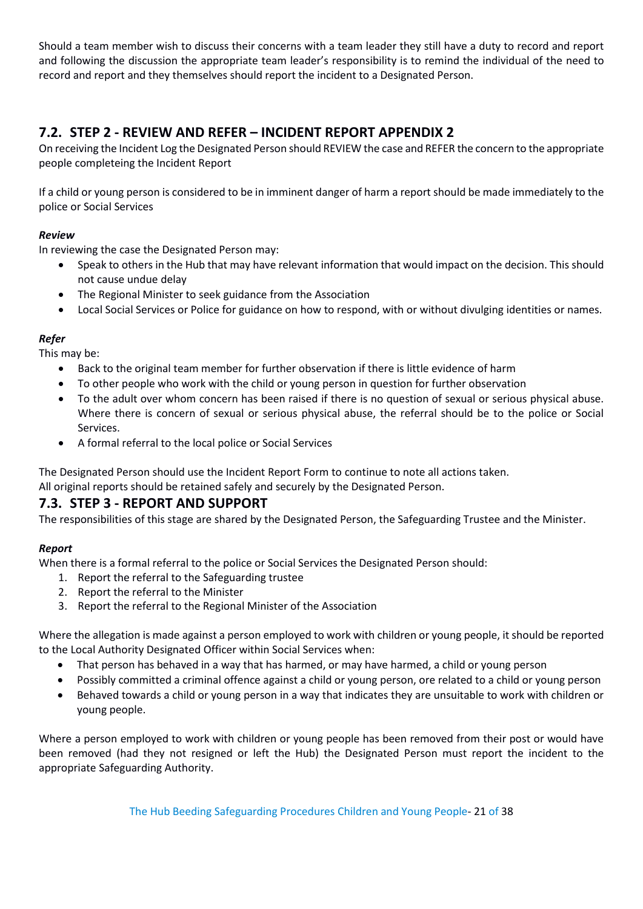Should a team member wish to discuss their concerns with a team leader they still have a duty to record and report and following the discussion the appropriate team leader's responsibility is to remind the individual of the need to record and report and they themselves should report the incident to a Designated Person.

# <span id="page-20-0"></span>**7.2. STEP 2 - REVIEW AND REFER – INCIDENT REPORT APPENDIX 2**

On receiving the Incident Log the Designated Person should REVIEW the case and REFER the concern to the appropriate people completeing the Incident Report

If a child or young person is considered to be in imminent danger of harm a report should be made immediately to the police or Social Services

#### *Review*

In reviewing the case the Designated Person may:

- Speak to others in the Hub that may have relevant information that would impact on the decision. This should not cause undue delay
- The Regional Minister to seek guidance from the Association
- Local Social Services or Police for guidance on how to respond, with or without divulging identities or names.

#### *Refer*

This may be:

- Back to the original team member for further observation if there is little evidence of harm
- To other people who work with the child or young person in question for further observation
- To the adult over whom concern has been raised if there is no question of sexual or serious physical abuse. Where there is concern of sexual or serious physical abuse, the referral should be to the police or Social Services.
- A formal referral to the local police or Social Services

The Designated Person should use the Incident Report Form to continue to note all actions taken.

All original reports should be retained safely and securely by the Designated Person.

#### <span id="page-20-1"></span>**7.3. STEP 3 - REPORT AND SUPPORT**

The responsibilities of this stage are shared by the Designated Person, the Safeguarding Trustee and the Minister.

#### *Report*

When there is a formal referral to the police or Social Services the Designated Person should:

- 1. Report the referral to the Safeguarding trustee
- 2. Report the referral to the Minister
- 3. Report the referral to the Regional Minister of the Association

Where the allegation is made against a person employed to work with children or young people, it should be reported to the Local Authority Designated Officer within Social Services when:

- That person has behaved in a way that has harmed, or may have harmed, a child or young person
- Possibly committed a criminal offence against a child or young person, ore related to a child or young person
- Behaved towards a child or young person in a way that indicates they are unsuitable to work with children or young people.

Where a person employed to work with children or young people has been removed from their post or would have been removed (had they not resigned or left the Hub) the Designated Person must report the incident to the appropriate Safeguarding Authority.

The Hub Beeding Safeguarding Procedures Children and Young People- 21 of 38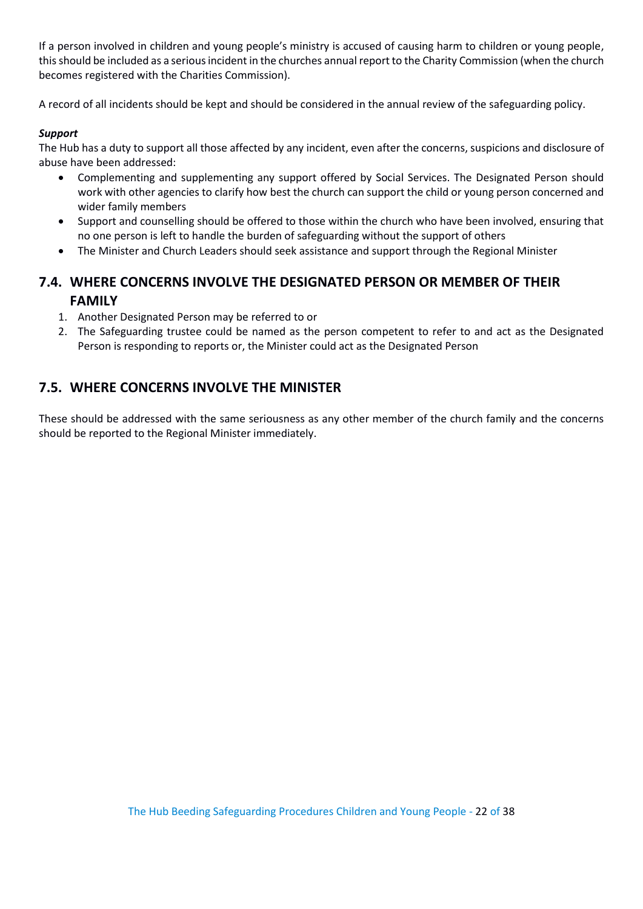If a person involved in children and young people's ministry is accused of causing harm to children or young people, this should be included as a serious incident in the churches annual report to the Charity Commission (when the church becomes registered with the Charities Commission).

A record of all incidents should be kept and should be considered in the annual review of the safeguarding policy.

#### *Support*

The Hub has a duty to support all those affected by any incident, even after the concerns, suspicions and disclosure of abuse have been addressed:

- Complementing and supplementing any support offered by Social Services. The Designated Person should work with other agencies to clarify how best the church can support the child or young person concerned and wider family members
- Support and counselling should be offered to those within the church who have been involved, ensuring that no one person is left to handle the burden of safeguarding without the support of others
- The Minister and Church Leaders should seek assistance and support through the Regional Minister

# <span id="page-21-0"></span>**7.4. WHERE CONCERNS INVOLVE THE DESIGNATED PERSON OR MEMBER OF THEIR FAMILY**

- 1. Another Designated Person may be referred to or
- 2. The Safeguarding trustee could be named as the person competent to refer to and act as the Designated Person is responding to reports or, the Minister could act as the Designated Person

# <span id="page-21-1"></span>**7.5. WHERE CONCERNS INVOLVE THE MINISTER**

These should be addressed with the same seriousness as any other member of the church family and the concerns should be reported to the Regional Minister immediately.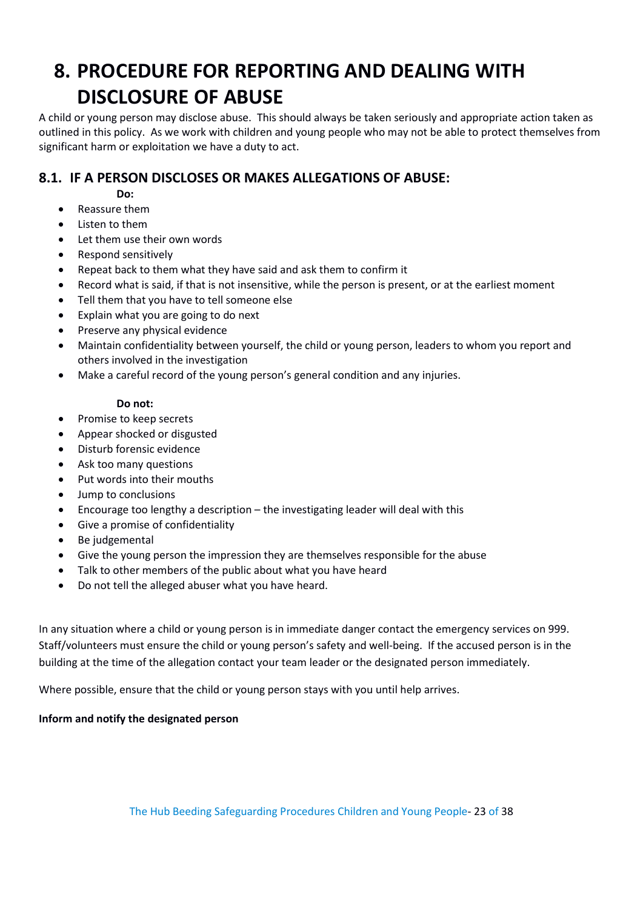# <span id="page-22-0"></span>**8. PROCEDURE FOR REPORTING AND DEALING WITH DISCLOSURE OF ABUSE**

A child or young person may disclose abuse. This should always be taken seriously and appropriate action taken as outlined in this policy. As we work with children and young people who may not be able to protect themselves from significant harm or exploitation we have a duty to act.

# <span id="page-22-1"></span>**8.1. IF A PERSON DISCLOSES OR MAKES ALLEGATIONS OF ABUSE:**

**Do:**

- Reassure them
- Listen to them
- Let them use their own words
- Respond sensitively
- Repeat back to them what they have said and ask them to confirm it
- Record what is said, if that is not insensitive, while the person is present, or at the earliest moment
- Tell them that you have to tell someone else
- Explain what you are going to do next
- Preserve any physical evidence
- Maintain confidentiality between yourself, the child or young person, leaders to whom you report and others involved in the investigation
- Make a careful record of the young person's general condition and any injuries.

#### **Do not:**

- Promise to keep secrets
- Appear shocked or disgusted
- Disturb forensic evidence
- Ask too many questions
- Put words into their mouths
- Jump to conclusions
- Encourage too lengthy a description the investigating leader will deal with this
- Give a promise of confidentiality
- Be judgemental
- Give the young person the impression they are themselves responsible for the abuse
- Talk to other members of the public about what you have heard
- Do not tell the alleged abuser what you have heard.

In any situation where a child or young person is in immediate danger contact the emergency services on 999. Staff/volunteers must ensure the child or young person's safety and well-being. If the accused person is in the building at the time of the allegation contact your team leader or the designated person immediately.

Where possible, ensure that the child or young person stays with you until help arrives.

#### **Inform and notify the designated person**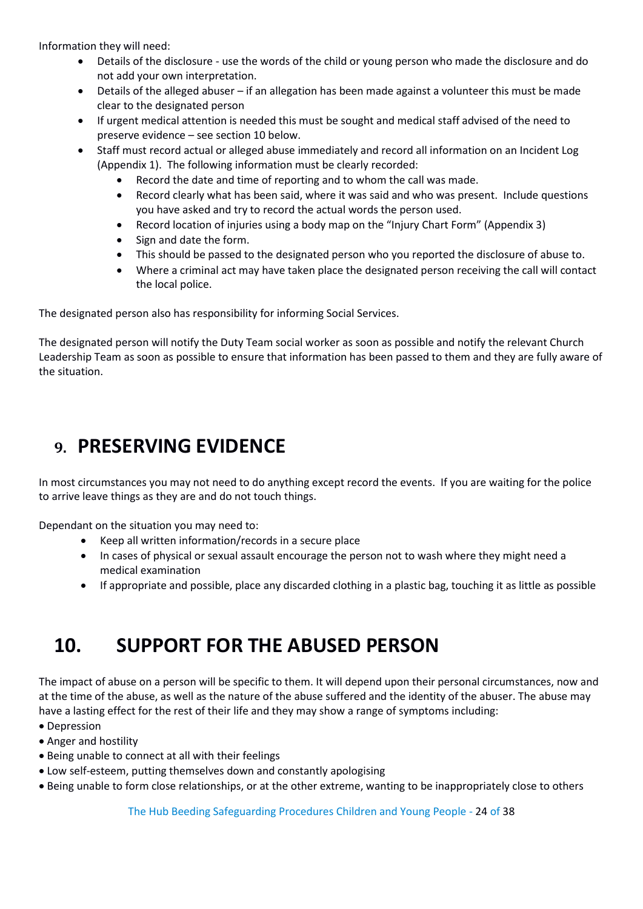Information they will need:

- Details of the disclosure use the words of the child or young person who made the disclosure and do not add your own interpretation.
- Details of the alleged abuser if an allegation has been made against a volunteer this must be made clear to the designated person
- If urgent medical attention is needed this must be sought and medical staff advised of the need to preserve evidence – see section 10 below.
- Staff must record actual or alleged abuse immediately and record all information on an Incident Log (Appendix 1). The following information must be clearly recorded:
	- Record the date and time of reporting and to whom the call was made.
	- Record clearly what has been said, where it was said and who was present. Include questions you have asked and try to record the actual words the person used.
	- Record location of injuries using a body map on the "Injury Chart Form" (Appendix 3)
	- Sign and date the form.
	- This should be passed to the designated person who you reported the disclosure of abuse to.
	- Where a criminal act may have taken place the designated person receiving the call will contact the local police.

The designated person also has responsibility for informing Social Services.

The designated person will notify the Duty Team social worker as soon as possible and notify the relevant Church Leadership Team as soon as possible to ensure that information has been passed to them and they are fully aware of the situation.

# <span id="page-23-0"></span>**9. PRESERVING EVIDENCE**

In most circumstances you may not need to do anything except record the events. If you are waiting for the police to arrive leave things as they are and do not touch things.

Dependant on the situation you may need to:

- Keep all written information/records in a secure place
- In cases of physical or sexual assault encourage the person not to wash where they might need a medical examination
- If appropriate and possible, place any discarded clothing in a plastic bag, touching it as little as possible

# <span id="page-23-1"></span>**10. SUPPORT FOR THE ABUSED PERSON**

The impact of abuse on a person will be specific to them. It will depend upon their personal circumstances, now and at the time of the abuse, as well as the nature of the abuse suffered and the identity of the abuser. The abuse may have a lasting effect for the rest of their life and they may show a range of symptoms including:

- Depression
- Anger and hostility
- Being unable to connect at all with their feelings
- Low self-esteem, putting themselves down and constantly apologising
- Being unable to form close relationships, or at the other extreme, wanting to be inappropriately close to others

The Hub Beeding Safeguarding Procedures Children and Young People - 24 of 38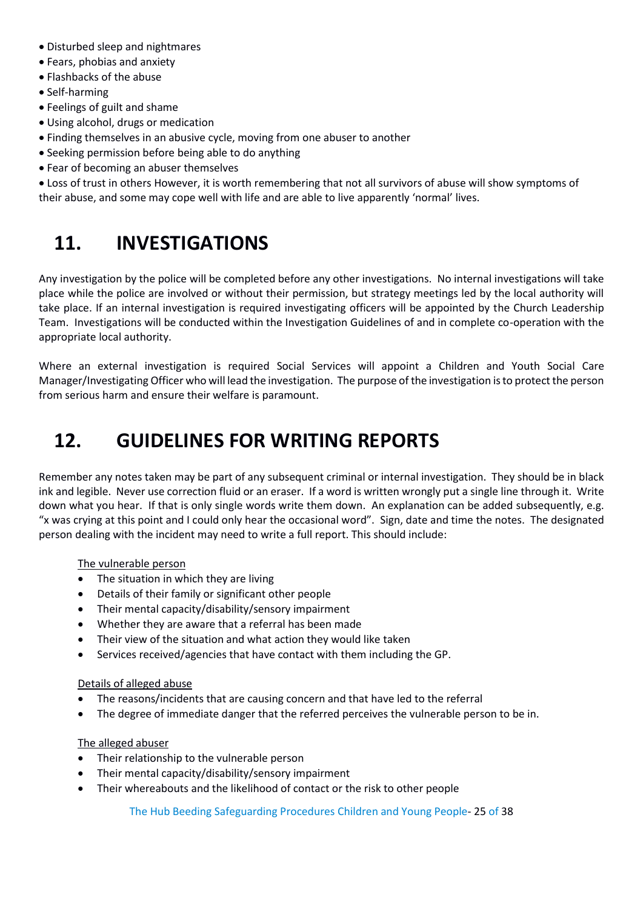- Disturbed sleep and nightmares
- Fears, phobias and anxiety
- Flashbacks of the abuse
- Self-harming
- Feelings of guilt and shame
- Using alcohol, drugs or medication
- Finding themselves in an abusive cycle, moving from one abuser to another
- Seeking permission before being able to do anything
- Fear of becoming an abuser themselves

<span id="page-24-0"></span>• Loss of trust in others However, it is worth remembering that not all survivors of abuse will show symptoms of their abuse, and some may cope well with life and are able to live apparently 'normal' lives.

# **11. INVESTIGATIONS**

Any investigation by the police will be completed before any other investigations. No internal investigations will take place while the police are involved or without their permission, but strategy meetings led by the local authority will take place. If an internal investigation is required investigating officers will be appointed by the Church Leadership Team. Investigations will be conducted within the Investigation Guidelines of and in complete co-operation with the appropriate local authority.

Where an external investigation is required Social Services will appoint a Children and Youth Social Care Manager/Investigating Officer who will lead the investigation. The purpose of the investigation is to protect the person from serious harm and ensure their welfare is paramount.

# <span id="page-24-1"></span>**12. GUIDELINES FOR WRITING REPORTS**

Remember any notes taken may be part of any subsequent criminal or internal investigation. They should be in black ink and legible. Never use correction fluid or an eraser. If a word is written wrongly put a single line through it. Write down what you hear. If that is only single words write them down. An explanation can be added subsequently, e.g. "x was crying at this point and I could only hear the occasional word". Sign, date and time the notes. The designated person dealing with the incident may need to write a full report. This should include:

#### The vulnerable person

- The situation in which they are living
- Details of their family or significant other people
- Their mental capacity/disability/sensory impairment
- Whether they are aware that a referral has been made
- Their view of the situation and what action they would like taken
- Services received/agencies that have contact with them including the GP.

#### Details of alleged abuse

- The reasons/incidents that are causing concern and that have led to the referral
- The degree of immediate danger that the referred perceives the vulnerable person to be in.

#### The alleged abuser

- Their relationship to the vulnerable person
- Their mental capacity/disability/sensory impairment
- Their whereabouts and the likelihood of contact or the risk to other people

The Hub Beeding Safeguarding Procedures Children and Young People- 25 of 38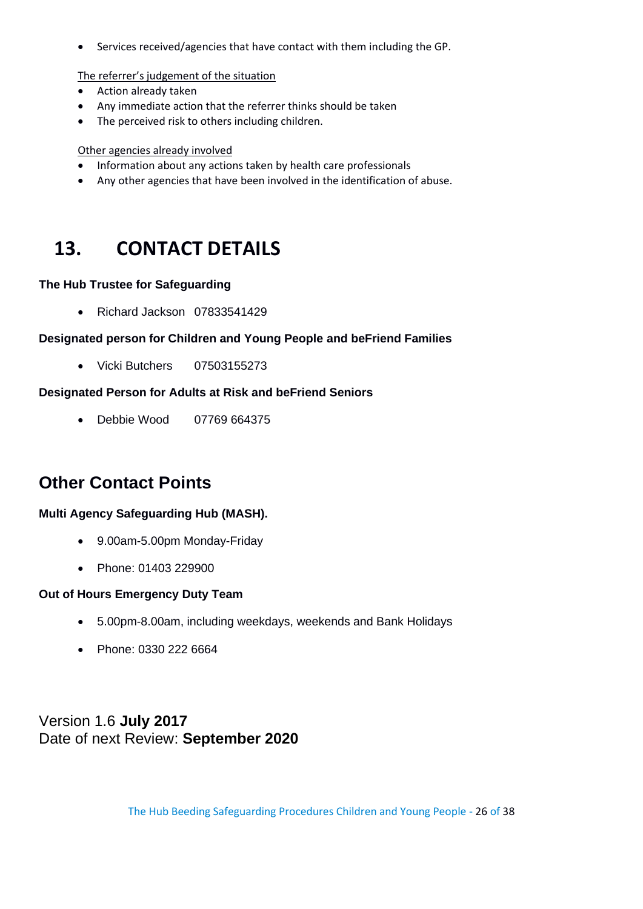• Services received/agencies that have contact with them including the GP.

The referrer's judgement of the situation

- Action already taken
- Any immediate action that the referrer thinks should be taken
- The perceived risk to others including children.

#### Other agencies already involved

- Information about any actions taken by health care professionals
- Any other agencies that have been involved in the identification of abuse.

# <span id="page-25-0"></span>**13. CONTACT DETAILS**

#### **The Hub Trustee for Safeguarding**

• Richard Jackson 07833541429

#### **Designated person for Children and Young People and beFriend Families**

• Vicki Butchers 07503155273

#### **Designated Person for Adults at Risk and beFriend Seniors**

• Debbie Wood 07769 664375

# **Other Contact Points**

#### **Multi Agency Safeguarding Hub (MASH).**

- 9.00am-5.00pm Monday-Friday
- Phone: 01403 229900

#### **Out of Hours Emergency Duty Team**

- 5.00pm-8.00am, including weekdays, weekends and Bank Holidays
- Phone: 0330 222 6664

Version 1.6 **July 2017** Date of next Review: **September 2020**

The Hub Beeding Safeguarding Procedures Children and Young People - 26 of 38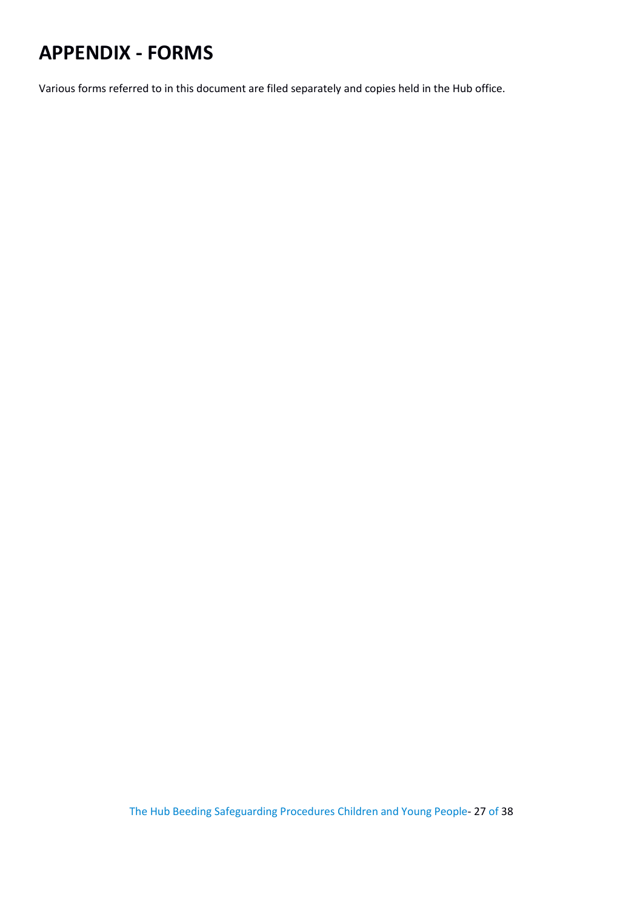# <span id="page-26-0"></span>**APPENDIX - FORMS**

Various forms referred to in this document are filed separately and copies held in the Hub office.

The Hub Beeding Safeguarding Procedures Children and Young People- 27 of 38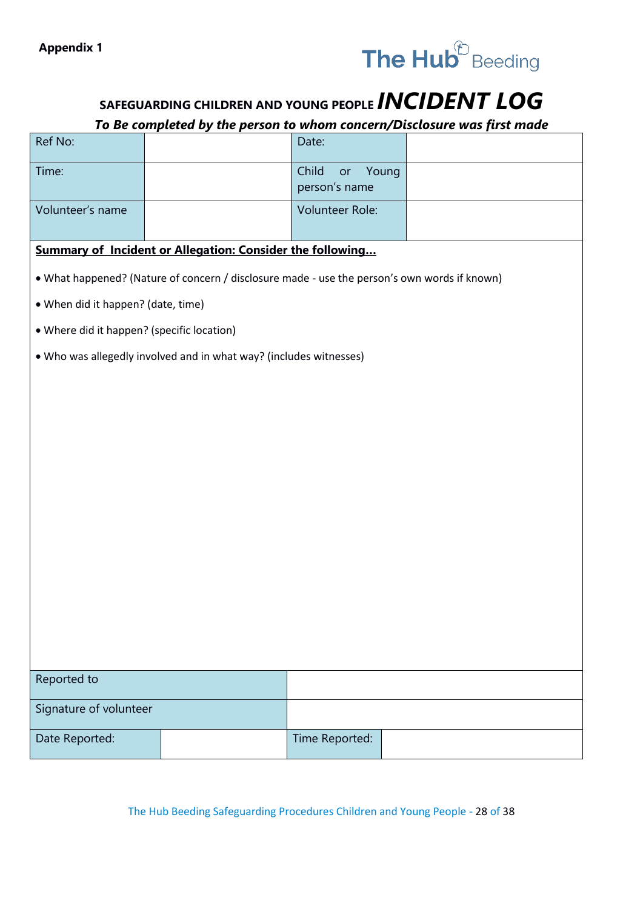

# **SAFEGUARDING CHILDREN AND YOUNG PEOPLE** *INCIDENT LOG*

#### *To Be completed by the person to whom concern/Disclosure was first made*

| Ref No:                                                   |                                                                                              | Date:                                 |  |  |  |  |
|-----------------------------------------------------------|----------------------------------------------------------------------------------------------|---------------------------------------|--|--|--|--|
| Time:                                                     |                                                                                              | Child<br>Young<br>or<br>person's name |  |  |  |  |
| Volunteer's name                                          |                                                                                              | Volunteer Role:                       |  |  |  |  |
| Summary of Incident or Allegation: Consider the following |                                                                                              |                                       |  |  |  |  |
|                                                           | • What happened? (Nature of concern / disclosure made - use the person's own words if known) |                                       |  |  |  |  |
| • When did it happen? (date, time)                        |                                                                                              |                                       |  |  |  |  |
| • Where did it happen? (specific location)                |                                                                                              |                                       |  |  |  |  |
|                                                           | . Who was allegedly involved and in what way? (includes witnesses)                           |                                       |  |  |  |  |
|                                                           |                                                                                              |                                       |  |  |  |  |
|                                                           |                                                                                              |                                       |  |  |  |  |
|                                                           |                                                                                              |                                       |  |  |  |  |
|                                                           |                                                                                              |                                       |  |  |  |  |
|                                                           |                                                                                              |                                       |  |  |  |  |
|                                                           |                                                                                              |                                       |  |  |  |  |
|                                                           |                                                                                              |                                       |  |  |  |  |
|                                                           |                                                                                              |                                       |  |  |  |  |
|                                                           |                                                                                              |                                       |  |  |  |  |
|                                                           |                                                                                              |                                       |  |  |  |  |
|                                                           |                                                                                              |                                       |  |  |  |  |
|                                                           |                                                                                              |                                       |  |  |  |  |
| Reported to                                               |                                                                                              |                                       |  |  |  |  |
| Signature of volunteer                                    |                                                                                              |                                       |  |  |  |  |
| Date Reported:                                            |                                                                                              | Time Reported:                        |  |  |  |  |

The Hub Beeding Safeguarding Procedures Children and Young People - 28 of 38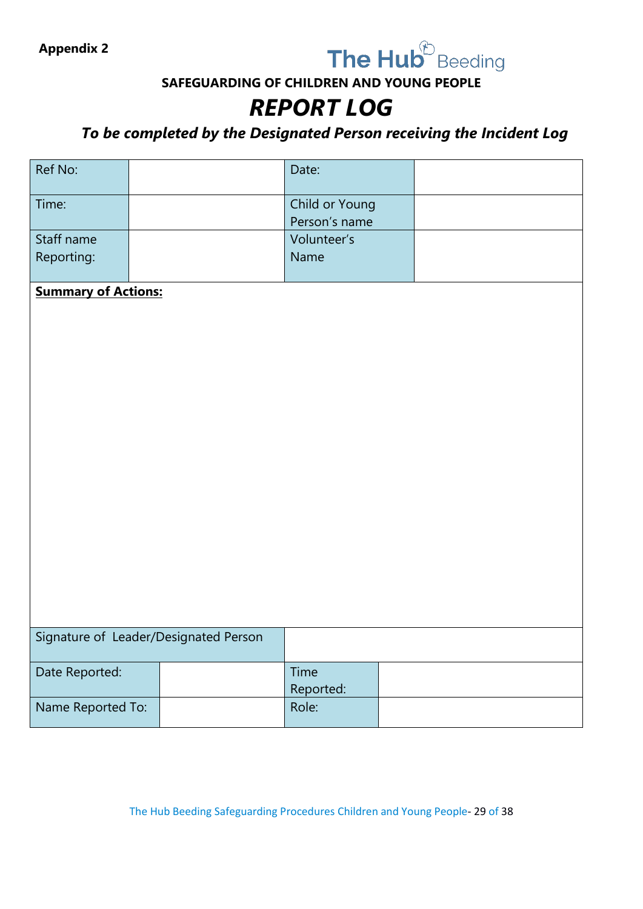

**SAFEGUARDING OF CHILDREN AND YOUNG PEOPLE**

# *REPORT LOG*

*To be completed by the Designated Person receiving the Incident Log*

| Ref No:                    |                                       | Date:                           |  |
|----------------------------|---------------------------------------|---------------------------------|--|
| Time:                      |                                       | Child or Young<br>Person's name |  |
| Staff name<br>Reporting:   |                                       | Volunteer's<br>Name             |  |
|                            |                                       |                                 |  |
| <b>Summary of Actions:</b> |                                       |                                 |  |
|                            |                                       |                                 |  |
|                            |                                       |                                 |  |
|                            |                                       |                                 |  |
|                            |                                       |                                 |  |
|                            |                                       |                                 |  |
|                            |                                       |                                 |  |
|                            |                                       |                                 |  |
|                            |                                       |                                 |  |
|                            |                                       |                                 |  |
|                            |                                       |                                 |  |
|                            |                                       |                                 |  |
|                            |                                       |                                 |  |
|                            |                                       |                                 |  |
|                            | Signature of Leader/Designated Person |                                 |  |
|                            |                                       |                                 |  |
| Date Reported:             |                                       | Time                            |  |
| Name Reported To:          |                                       | Reported:<br>Role:              |  |
|                            |                                       |                                 |  |

The Hub Beeding Safeguarding Procedures Children and Young People- 29 of 38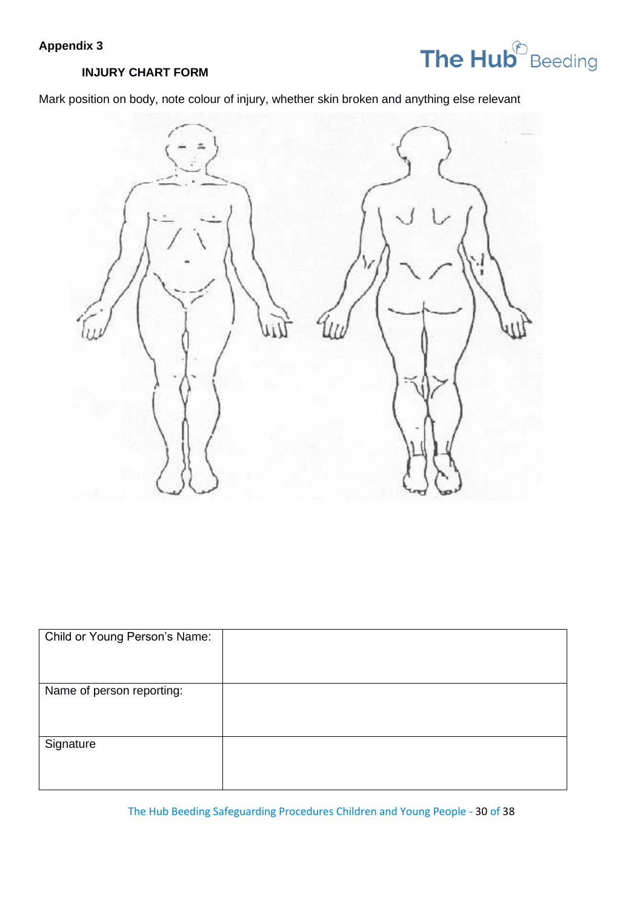## **Appendix 3**



#### **INJURY CHART FORM**

Mark position on body, note colour of injury, whether skin broken and anything else relevant



| Child or Young Person's Name: |  |
|-------------------------------|--|
| Name of person reporting:     |  |
|                               |  |
|                               |  |
|                               |  |
| Signature                     |  |
|                               |  |
|                               |  |
|                               |  |

The Hub Beeding Safeguarding Procedures Children and Young People - 30 of 38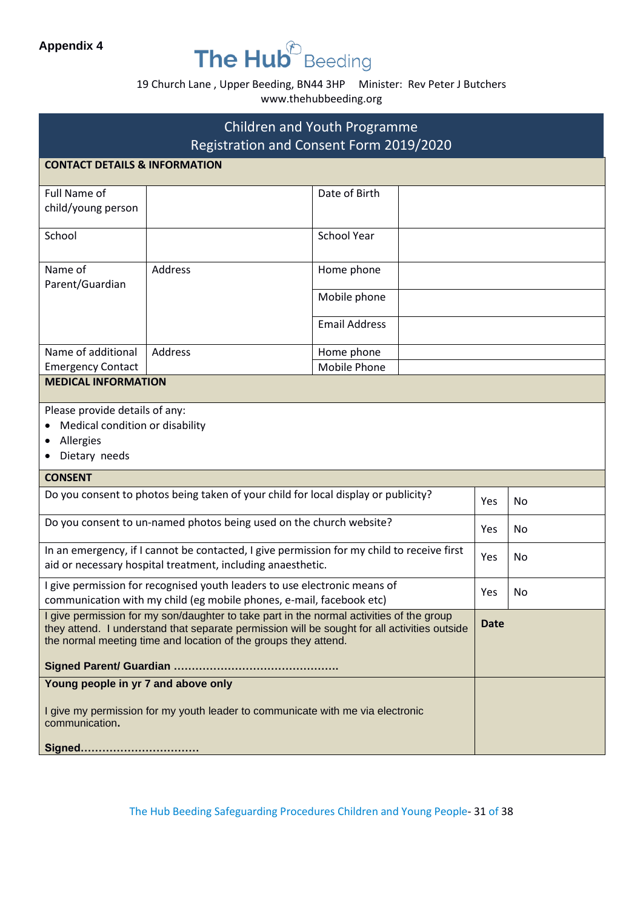### **Appendix 4**

# The Hub<sup>®</sup> Beeding

### 19 Church Lane , Upper Beeding, BN44 3HP Minister: Rev Peter J Butchers www.thehubbeeding.org

| <b>Children and Youth Programme</b>                                                                                                                                                                                                                         |                                                                                                                                                           |                      |     |    |  |  |
|-------------------------------------------------------------------------------------------------------------------------------------------------------------------------------------------------------------------------------------------------------------|-----------------------------------------------------------------------------------------------------------------------------------------------------------|----------------------|-----|----|--|--|
| Registration and Consent Form 2019/2020                                                                                                                                                                                                                     |                                                                                                                                                           |                      |     |    |  |  |
|                                                                                                                                                                                                                                                             | <b>CONTACT DETAILS &amp; INFORMATION</b>                                                                                                                  |                      |     |    |  |  |
| Full Name of<br>child/young person                                                                                                                                                                                                                          |                                                                                                                                                           | Date of Birth        |     |    |  |  |
| School                                                                                                                                                                                                                                                      |                                                                                                                                                           | <b>School Year</b>   |     |    |  |  |
| Name of<br>Parent/Guardian                                                                                                                                                                                                                                  | <b>Address</b>                                                                                                                                            | Home phone           |     |    |  |  |
|                                                                                                                                                                                                                                                             |                                                                                                                                                           | Mobile phone         |     |    |  |  |
|                                                                                                                                                                                                                                                             |                                                                                                                                                           | <b>Email Address</b> |     |    |  |  |
| Name of additional                                                                                                                                                                                                                                          | Address                                                                                                                                                   | Home phone           |     |    |  |  |
| <b>Emergency Contact</b>                                                                                                                                                                                                                                    |                                                                                                                                                           | <b>Mobile Phone</b>  |     |    |  |  |
| <b>MEDICAL INFORMATION</b>                                                                                                                                                                                                                                  |                                                                                                                                                           |                      |     |    |  |  |
| Allergies<br>Dietary needs                                                                                                                                                                                                                                  | Please provide details of any:<br>Medical condition or disability                                                                                         |                      |     |    |  |  |
|                                                                                                                                                                                                                                                             | <b>CONSENT</b>                                                                                                                                            |                      |     |    |  |  |
|                                                                                                                                                                                                                                                             | Do you consent to photos being taken of your child for local display or publicity?                                                                        |                      | Yes | No |  |  |
|                                                                                                                                                                                                                                                             | Do you consent to un-named photos being used on the church website?                                                                                       |                      | Yes | No |  |  |
|                                                                                                                                                                                                                                                             | In an emergency, if I cannot be contacted, I give permission for my child to receive first<br>aid or necessary hospital treatment, including anaesthetic. |                      | Yes | No |  |  |
|                                                                                                                                                                                                                                                             | I give permission for recognised youth leaders to use electronic means of<br>communication with my child (eg mobile phones, e-mail, facebook etc)         |                      | Yes | No |  |  |
| I give permission for my son/daughter to take part in the normal activities of the group<br>they attend. I understand that separate permission will be sought for all activities outside<br>the normal meeting time and location of the groups they attend. |                                                                                                                                                           |                      |     |    |  |  |
|                                                                                                                                                                                                                                                             |                                                                                                                                                           |                      |     |    |  |  |
| Young people in yr 7 and above only                                                                                                                                                                                                                         |                                                                                                                                                           |                      |     |    |  |  |
| I give my permission for my youth leader to communicate with me via electronic<br>communication.                                                                                                                                                            |                                                                                                                                                           |                      |     |    |  |  |
|                                                                                                                                                                                                                                                             | Signed                                                                                                                                                    |                      |     |    |  |  |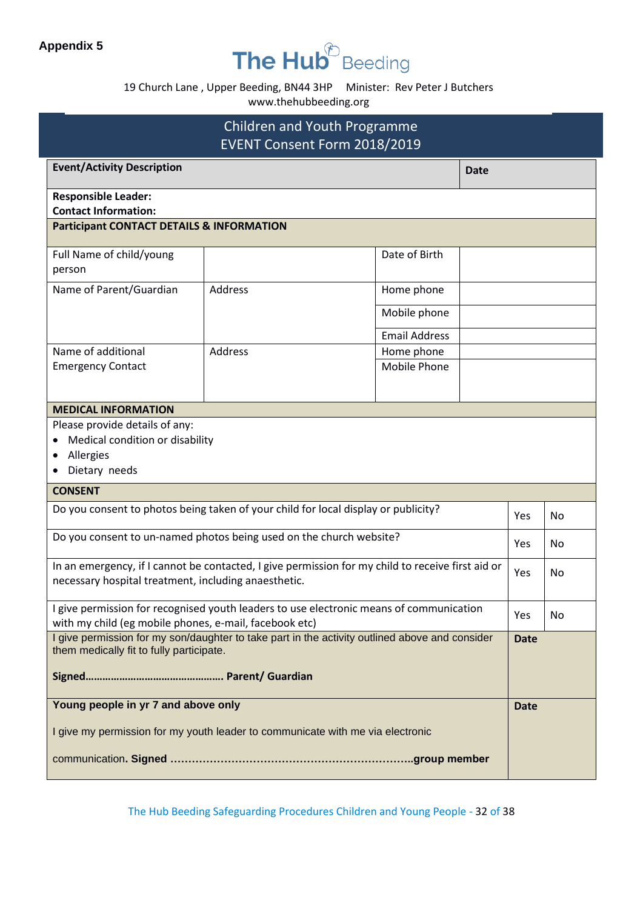# The Hub<sup>®</sup> Beeding

19 Church Lane , Upper Beeding, BN44 3HP Minister: Rev Peter J Butchers

www.thehubbeeding.org

| <b>Children and Youth Programme</b><br>EVENT Consent Form 2018/2019                |                                                                                                   |                            |     |             |     |
|------------------------------------------------------------------------------------|---------------------------------------------------------------------------------------------------|----------------------------|-----|-------------|-----|
| <b>Event/Activity Description</b><br><b>Date</b>                                   |                                                                                                   |                            |     |             |     |
| <b>Responsible Leader:</b><br><b>Contact Information:</b>                          |                                                                                                   |                            |     |             |     |
| <b>Participant CONTACT DETAILS &amp; INFORMATION</b>                               |                                                                                                   |                            |     |             |     |
| Full Name of child/young<br>person                                                 |                                                                                                   | Date of Birth              |     |             |     |
| Name of Parent/Guardian                                                            | <b>Address</b>                                                                                    | Home phone                 |     |             |     |
|                                                                                    |                                                                                                   | Mobile phone               |     |             |     |
|                                                                                    |                                                                                                   | <b>Email Address</b>       |     |             |     |
| Name of additional<br><b>Emergency Contact</b>                                     | <b>Address</b>                                                                                    | Home phone<br>Mobile Phone |     |             |     |
|                                                                                    |                                                                                                   |                            |     |             |     |
| <b>MEDICAL INFORMATION</b>                                                         |                                                                                                   |                            |     |             |     |
| Please provide details of any:                                                     |                                                                                                   |                            |     |             |     |
| Medical condition or disability                                                    |                                                                                                   |                            |     |             |     |
| Allergies                                                                          | Dietary needs                                                                                     |                            |     |             |     |
| <b>CONSENT</b>                                                                     |                                                                                                   |                            |     |             |     |
| Do you consent to photos being taken of your child for local display or publicity? |                                                                                                   |                            | Yes | No          |     |
| Do you consent to un-named photos being used on the church website?                |                                                                                                   |                            | Yes | No.         |     |
| necessary hospital treatment, including anaesthetic.                               | In an emergency, if I cannot be contacted, I give permission for my child to receive first aid or |                            |     | Yes         | No. |
| with my child (eg mobile phones, e-mail, facebook etc)                             | I give permission for recognised youth leaders to use electronic means of communication           |                            |     | Yes         | No  |
|                                                                                    | I give permission for my son/daughter to take part in the activity outlined above and consider    |                            |     | <b>Date</b> |     |
| them medically fit to fully participate.                                           |                                                                                                   |                            |     |             |     |
|                                                                                    | Young people in yr 7 and above only                                                               |                            |     | <b>Date</b> |     |
| I give my permission for my youth leader to communicate with me via electronic     |                                                                                                   |                            |     |             |     |
|                                                                                    |                                                                                                   |                            |     |             |     |

The Hub Beeding Safeguarding Procedures Children and Young People - 32 of 38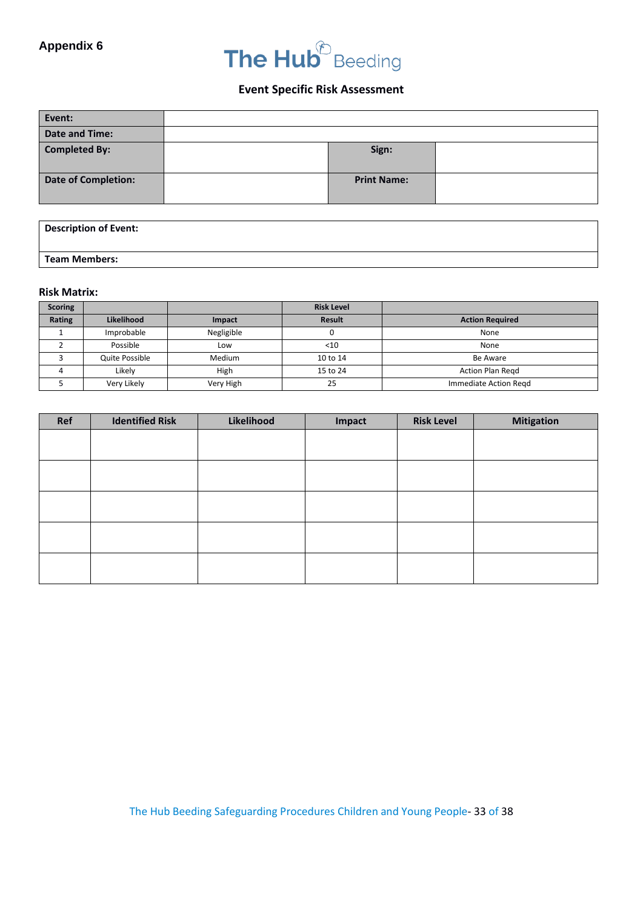# The Hub<sup>®</sup> Beeding

#### **Event Specific Risk Assessment**

| Event:                     |                    |  |
|----------------------------|--------------------|--|
| <b>Date and Time:</b>      |                    |  |
| <b>Completed By:</b>       | Sign:              |  |
| <b>Date of Completion:</b> | <b>Print Name:</b> |  |

| <b>Description of Event:</b> |  |  |
|------------------------------|--|--|
|                              |  |  |
| <b>Team Members:</b>         |  |  |

#### **Risk Matrix:**

| <b>Scoring</b> |                |            | <b>Risk Level</b> |                         |
|----------------|----------------|------------|-------------------|-------------------------|
| Rating         | Likelihood     | Impact     | Result            | <b>Action Required</b>  |
|                | Improbable     | Negligible |                   | None                    |
|                | Possible       | Low        | $<$ 10            | None                    |
|                | Quite Possible | Medium     | 10 to 14          | Be Aware                |
|                | Likelv         | High       | 15 to 24          | <b>Action Plan Regd</b> |
|                | Very Likely    | Very High  | 25                | Immediate Action Regd   |

| Ref | <b>Identified Risk</b> | Likelihood | Impact | <b>Risk Level</b> | <b>Mitigation</b> |
|-----|------------------------|------------|--------|-------------------|-------------------|
|     |                        |            |        |                   |                   |
|     |                        |            |        |                   |                   |
|     |                        |            |        |                   |                   |
|     |                        |            |        |                   |                   |
|     |                        |            |        |                   |                   |
|     |                        |            |        |                   |                   |
|     |                        |            |        |                   |                   |
|     |                        |            |        |                   |                   |
|     |                        |            |        |                   |                   |
|     |                        |            |        |                   |                   |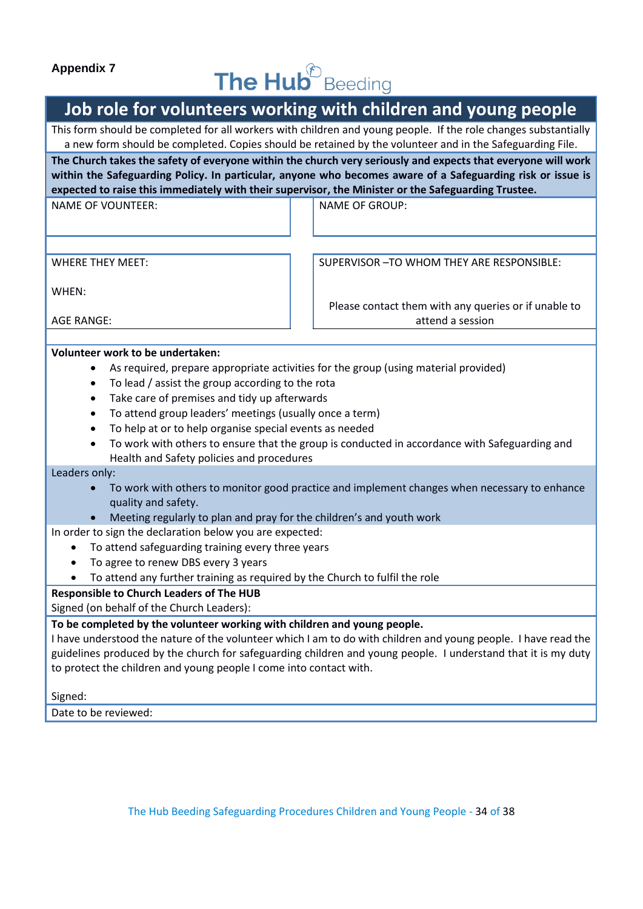#### **Appendix 7**

# The Hub<sup><sup>E</sup> Beeding</sup>

# **Job role for volunteers working with children and young people**

This form should be completed for all workers with children and young people. If the role changes substantially a new form should be completed. Copies should be retained by the volunteer and in the Safeguarding File.

**The Church takes the safety of everyone within the church very seriously and expects that everyone will work within the Safeguarding Policy. In particular, anyone who becomes aware of a Safeguarding risk or issue is expected to raise this immediately with their supervisor, the Minister or the Safeguarding Trustee.**

NAME OF VOUNTEER: NAME OF GROUP:

WHERE THEY MEET:

SUPERVISOR –TO WHOM THEY ARE RESPONSIBLE:

Please contact them with any queries or if unable to attend a session

WHEN:

AGE RANGE:

#### **Volunteer work to be undertaken:**

- As required, prepare appropriate activities for the group (using material provided)
- To lead / assist the group according to the rota
- Take care of premises and tidy up afterwards
- To attend group leaders' meetings (usually once a term)
- To help at or to help organise special events as needed
- To work with others to ensure that the group is conducted in accordance with Safeguarding and Health and Safety policies and procedures

Leaders only:

- To work with others to monitor good practice and implement changes when necessary to enhance quality and safety.
- Meeting regularly to plan and pray for the children's and youth work

In order to sign the declaration below you are expected:

- To attend safeguarding training every three years
- To agree to renew DBS every 3 years
- To attend any further training as required by the Church to fulfil the role

#### **Responsible to Church Leaders of The HUB**

Signed (on behalf of the Church Leaders):

#### **To be completed by the volunteer working with children and young people.**

I have understood the nature of the volunteer which I am to do with children and young people. I have read the guidelines produced by the church for safeguarding children and young people. I understand that it is my duty to protect the children and young people I come into contact with.

Signed:

Date to be reviewed: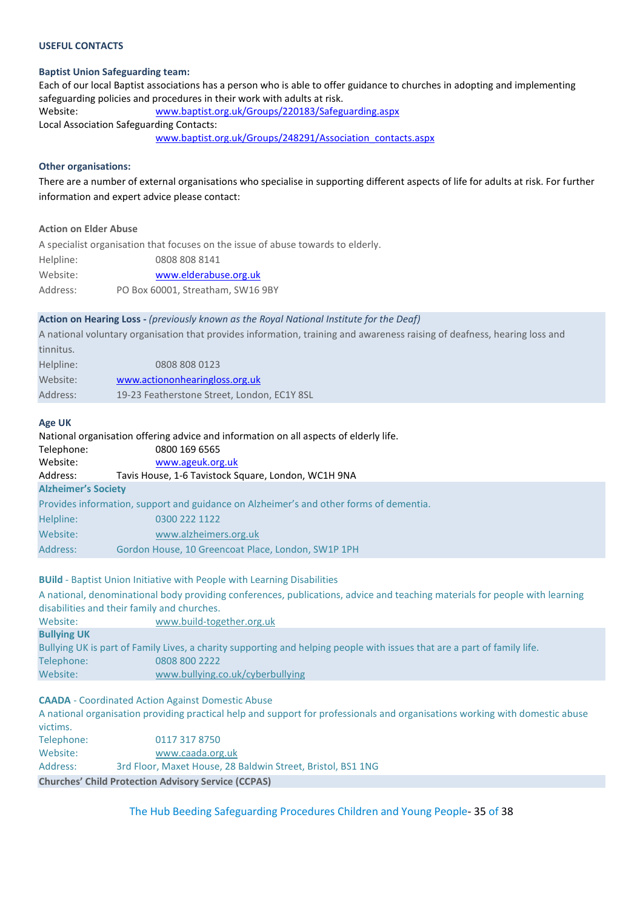#### **USEFUL CONTACTS**

#### **Baptist Union Safeguarding team:**

Each of our local Baptist associations has a person who is able to offer guidance to churches in adopting and implementing safeguarding policies and procedures in their work with adults at risk. Website: [www.baptist.org.uk/Groups/220183/Safeguarding.aspx](http://www.baptist.org.uk/Groups/220183/Safeguarding.aspx)  Local Association Safeguarding Contacts: [www.baptist.org.uk/Groups/248291/Association\\_contacts.aspx](http://www.baptist.org.uk/Groups/248291/Association_contacts.aspx) 

#### **Other organisations:**

There are a number of external organisations who specialise in supporting different aspects of life for adults at risk. For further information and expert advice please contact:

#### **Action on Elder Abuse**

A specialist organisation that focuses on the issue of abuse towards to elderly. Helpline: 0808 808 8141 Website: [www.elderabuse.org.uk](http://www.elderabuse.org.uk/) Address: PO Box 60001, Streatham, SW16 9BY

#### **Action on Hearing Loss -** *(previously known as the Royal National Institute for the Deaf)*

A national voluntary organisation that provides information, training and awareness raising of deafness, hearing loss and tinnitus.

| Helpline: | 0808 808 0123                               |
|-----------|---------------------------------------------|
| Website:  | www.actiononhearingloss.org.uk              |
| Address:  | 19-23 Featherstone Street, London, EC1Y 8SL |

#### **Age UK**

National organisation offering advice and information on all aspects of elderly life.  $T_{\text{e}}$ lephone: 0800 169 6565

| Telephone:                 | <b>USUU TPA PPPP</b>                                                                   |
|----------------------------|----------------------------------------------------------------------------------------|
| Website:                   | www.ageuk.org.uk                                                                       |
| Address:                   | Tavis House, 1-6 Tavistock Square, London, WC1H 9NA                                    |
| <b>Alzheimer's Society</b> |                                                                                        |
|                            | Provides information, support and guidance on Alzheimer's and other forms of dementia. |
| Helpline:                  | 0300 222 1122                                                                          |
| Website:                   | www.alzheimers.org.uk                                                                  |
| Address:                   | Gordon House, 10 Greencoat Place, London, SW1P 1PH                                     |
|                            |                                                                                        |

#### **BUild** - Baptist Union Initiative with People with Learning Disabilities

A national, denominational body providing conferences, publications, advice and teaching materials for people with learning disabilities and their family and churches. Website: [www.build-together.org.uk](http://www.build-together.org.uk/)

**Bullying UK** Bullying UK is part of Family Lives, a charity supporting and helping people with issues that are a part of family life. Telephone: 0808 800 2222 Website: [www.bullying.co.uk/cyberbullying](http://www.bullying.co.uk/cyberbullying)

#### **CAADA** - Coordinated Action Against Domestic Abuse

A national organisation providing practical help and support for professionals and organisations working with domestic abuse victims. Telephone: 0117 317 8750

|                   | <b>Churches' Child Protection Advisory Service (CCPAS)</b>  |
|-------------------|-------------------------------------------------------------|
| Address:          | 3rd Floor, Maxet House, 28 Baldwin Street, Bristol, BS1 1NG |
| Website:          | www.caada.org.uk                                            |
| <b>ICICUIUIE.</b> | OCIO ITC ITTO                                               |

The Hub Beeding Safeguarding Procedures Children and Young People- 35 of 38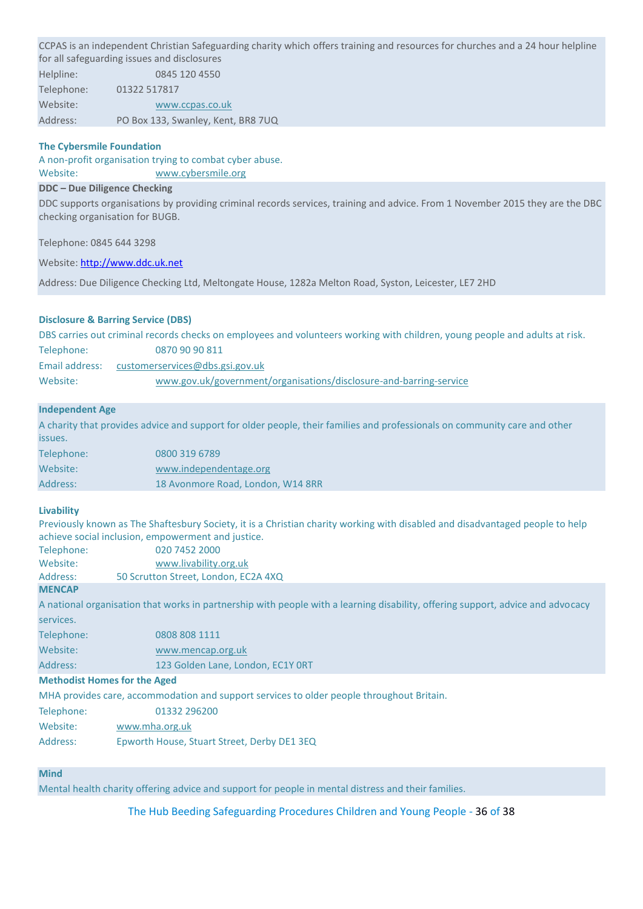CCPAS is an independent Christian Safeguarding charity which offers training and resources for churches and a 24 hour helpline for all safeguarding issues and disclosures

Helpline: 0845 120 4550 Telephone: 01322 517817 Website: [www.ccpas.co.uk](http://www.ccpas.co.uk/) Address: PO Box 133, Swanley, Kent, BR8 7UQ

#### **The Cybersmile Foundation**

A non-profit organisation trying to combat cyber abuse. Website: [www.cybersmile.org](http://www.cybersmile.org/)

#### **DDC – Due Diligence Checking**

DDC supports organisations by providing criminal records services, training and advice. From 1 November 2015 they are the DBC checking organisation for BUGB.

Telephone: 0845 644 3298

Website[: http://www.ddc.uk.net](http://www.ddc.uk.net/)

Address: Due Diligence Checking Ltd, Meltongate House, 1282a Melton Road, Syston, Leicester, LE7 2HD

#### **Disclosure & Barring Service (DBS)**

|                | DBS carries out criminal records checks on employees and volunteers working with children, young people and adults at risk. |
|----------------|-----------------------------------------------------------------------------------------------------------------------------|
| Telephone:     | 0870 90 90 811                                                                                                              |
| Email address: | customerservices@dbs.gsi.gov.uk                                                                                             |
| Website:       | www.gov.uk/government/organisations/disclosure-and-barring-service                                                          |

#### **Independent Age**

A charity that provides advice and support for older people, their families and professionals on community care and other issues. Telephone: 0800 319 6789

| <b>ICICDIIUIIC.</b> | <u>UUUU JIJ UTUJ</u>              |
|---------------------|-----------------------------------|
| Website:            | www.independentage.org            |
| Address:            | 18 Avonmore Road, London, W14 8RR |
|                     |                                   |

#### **Livability**

Previously known as The Shaftesbury Society, it is a Christian charity working with disabled and disadvantaged people to help achieve social inclusion, empowerment and justice.

| Telephone: | 020 7452 2000                        |
|------------|--------------------------------------|
| Website:   | www.livability.org.uk                |
| Address:   | 50 Scrutton Street, London, EC2A 4XQ |
|            |                                      |

#### **MENCAP**

A national organisation that works in partnership with people with a learning disability, offering support, advice and advocacy services.

| Telephone: | 0808 808 1111                     |
|------------|-----------------------------------|
| Website:   | www.mencap.org.uk                 |
| Address:   | 123 Golden Lane, London, EC1Y ORT |
|            |                                   |

#### **Methodist Homes for the Aged**

MHA provides care, accommodation and support services to older people throughout Britain.

- Telephone: 01332 296200
- Website: [www.mha.org.uk](http://www.mha.org.uk/)
- Address: Epworth House, Stuart Street, Derby DE1 3EQ

#### **Mind**

Mental health charity offering advice and support for people in mental distress and their families.

The Hub Beeding Safeguarding Procedures Children and Young People - 36 of 38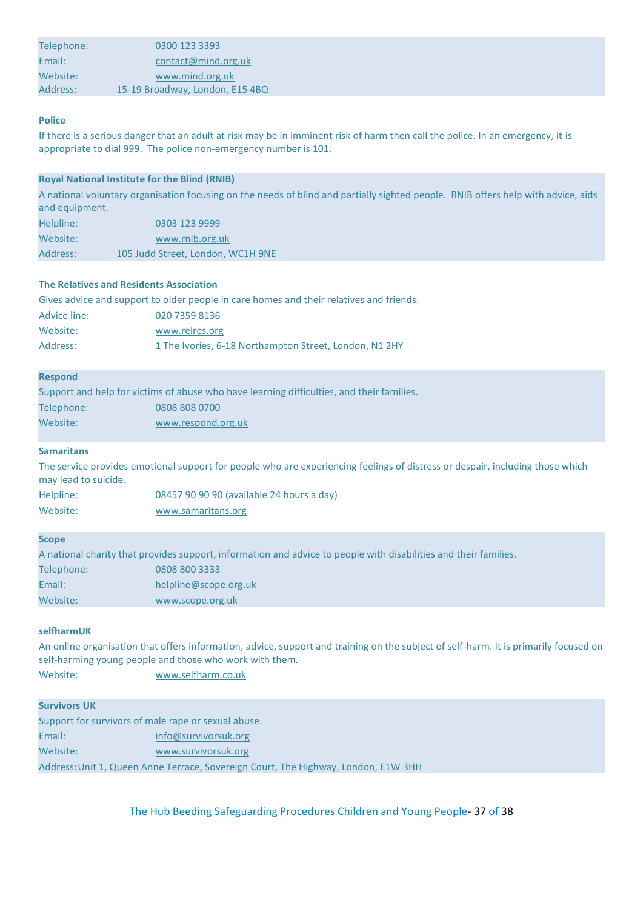| Email:   | contact@mind.org.uk             |  |
|----------|---------------------------------|--|
|          |                                 |  |
| Website: | www.mind.org.uk                 |  |
| Address: | 15-19 Broadway, London, E15 4BQ |  |

#### **Police**

If there is a serious danger that an adult at risk may be in imminent risk of harm then call the police. In an emergency, it is appropriate to dial 999. The police non-emergency number is 101.

#### **Royal National Institute for the Blind (RNIB)**

A national voluntary organisation focusing on the needs of blind and partially sighted people. RNIB offers help with advice, aids and equipment.

| Helpline: | 0303 123 9999                     |
|-----------|-----------------------------------|
| Website:  | www.rnib.org.uk                   |
| Address:  | 105 Judd Street, London, WC1H 9NE |

#### **The Relatives and Residents Association**

| Gives advice and support to older people in care homes and their relatives and friends. |                                                        |  |
|-----------------------------------------------------------------------------------------|--------------------------------------------------------|--|
| Advice line:                                                                            | 020 7359 8136                                          |  |
| Website:                                                                                | www.relres.org                                         |  |
| Address:                                                                                | 1 The Ivories, 6-18 Northampton Street, London, N1 2HY |  |

#### **Respond**

|            | Support and help for victims of abuse who have learning difficulties, and their families. |
|------------|-------------------------------------------------------------------------------------------|
| Telephone: | 0808 808 0700                                                                             |
| Website:   | www.respond.org.uk                                                                        |

#### **Samaritans**

The service provides emotional support for people who are experiencing feelings of distress or despair, including those which may lead to suicide.

| Helpline: | 08457 90 90 90 (available 24 hours a day) |
|-----------|-------------------------------------------|
| Website:  | www.samaritans.org                        |

#### **Scope**

A national charity that provides support, information and advice to people with disabilities and their families.

| Telephone: | 0808 800 3333         |
|------------|-----------------------|
| Email:     | helpline@scope.org.uk |
| Website:   | www.scope.org.uk      |

#### **selfharmUK**

An online organisation that offers information, advice, support and training on the subject of self-harm. It is primarily focused on self-harming young people and those who work with them.

Website: [www.selfharm.co.uk](http://www.selfharm.co.uk/)

#### **Survivors UK**

| Support for survivors of male rape or sexual abuse.                                |                      |  |
|------------------------------------------------------------------------------------|----------------------|--|
| Email:                                                                             | info@survivorsuk.org |  |
| Website:                                                                           | www.survivorsuk.org  |  |
| Address: Unit 1, Queen Anne Terrace, Sovereign Court, The Highway, London, E1W 3HH |                      |  |

The Hub Beeding Safeguarding Procedures Children and Young People- 37 of 38